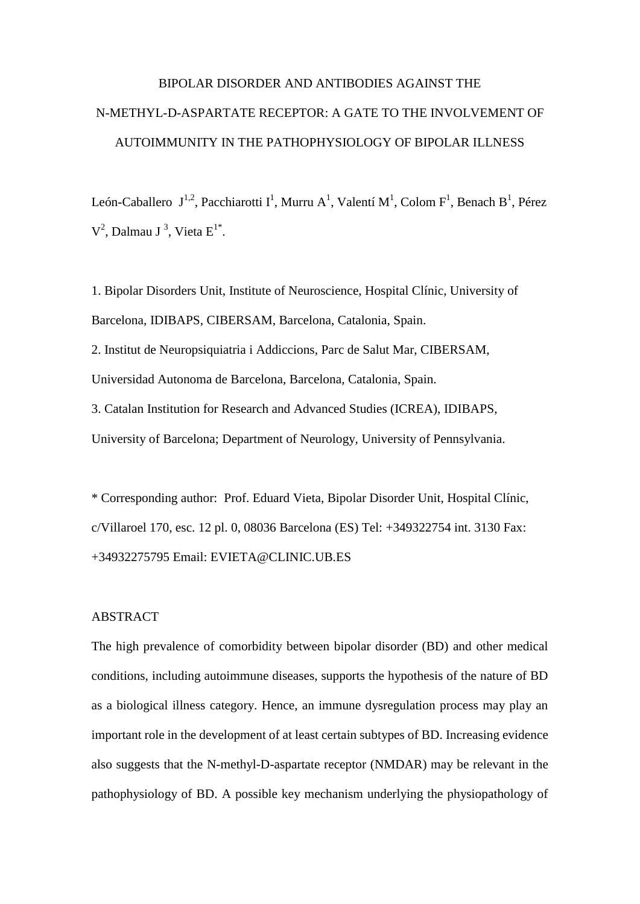# BIPOLAR DISORDER AND ANTIBODIES AGAINST THE N-METHYL-D-ASPARTATE RECEPTOR: A GATE TO THE INVOLVEMENT OF AUTOIMMUNITY IN THE PATHOPHYSIOLOGY OF BIPOLAR ILLNESS

León-Caballero J<sup>1,2</sup>, Pacchiarotti I<sup>1</sup>, Murru A<sup>1</sup>, Valentí M<sup>1</sup>, Colom F<sup>1</sup>, Benach B<sup>1</sup>, Pérez  $V^2$ , Dalmau J<sup>3</sup>, Vieta E<sup>1\*</sup>.

1. Bipolar Disorders Unit, Institute of Neuroscience, Hospital Clínic, University of Barcelona, IDIBAPS, CIBERSAM, Barcelona, Catalonia, Spain.

2. Institut de Neuropsiquiatria i Addiccions, Parc de Salut Mar, CIBERSAM, Universidad Autonoma de Barcelona, Barcelona, Catalonia, Spain.

3. Catalan Institution for Research and Advanced Studies (ICREA), IDIBAPS, University of Barcelona; Department of Neurology, University of Pennsylvania.

\* Corresponding author: Prof. Eduard Vieta, Bipolar Disorder Unit, Hospital Clínic, c/Villaroel 170, esc. 12 pl. 0, 08036 Barcelona (ES) Tel: +349322754 int. 3130 Fax: +34932275795 Email: EVIETA@CLINIC.UB.ES

# ABSTRACT

The high prevalence of comorbidity between bipolar disorder (BD) and other medical conditions, including autoimmune diseases, supports the hypothesis of the nature of BD as a biological illness category. Hence, an immune dysregulation process may play an important role in the development of at least certain subtypes of BD. Increasing evidence also suggests that the N-methyl-D-aspartate receptor (NMDAR) may be relevant in the pathophysiology of BD. A possible key mechanism underlying the physiopathology of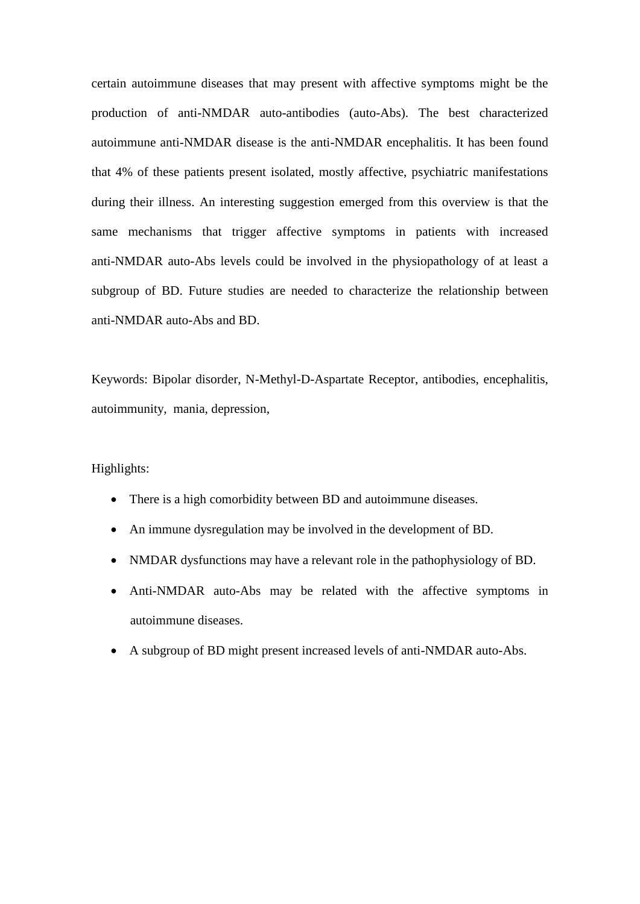certain autoimmune diseases that may present with affective symptoms might be the production of anti-NMDAR auto-antibodies (auto-Abs). The best characterized autoimmune anti-NMDAR disease is the anti-NMDAR encephalitis. It has been found that 4% of these patients present isolated, mostly affective, psychiatric manifestations during their illness. An interesting suggestion emerged from this overview is that the same mechanisms that trigger affective symptoms in patients with increased anti-NMDAR auto-Abs levels could be involved in the physiopathology of at least a subgroup of BD. Future studies are needed to characterize the relationship between anti-NMDAR auto-Abs and BD.

Keywords: Bipolar disorder, N-Methyl-D-Aspartate Receptor, antibodies, encephalitis, autoimmunity, mania, depression,

## Highlights:

- There is a high comorbidity between BD and autoimmune diseases.
- An immune dysregulation may be involved in the development of BD.
- NMDAR dysfunctions may have a relevant role in the pathophysiology of BD.
- Anti-NMDAR auto-Abs may be related with the affective symptoms in autoimmune diseases.
- A subgroup of BD might present increased levels of anti-NMDAR auto-Abs.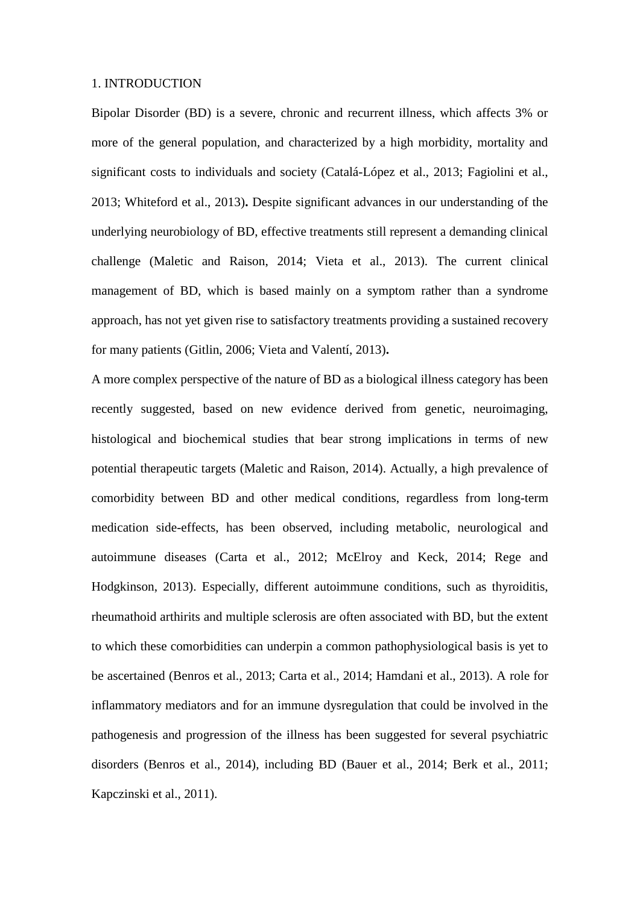#### 1. INTRODUCTION

Bipolar Disorder (BD) is a severe, chronic and recurrent illness, which affects 3% or more of the general population, and characterized by a high morbidity, mortality and significant costs to individuals and society (Catalá-López et al., 2013; Fagiolini et al., 2013; Whiteford et al., 2013)**.** Despite significant advances in our understanding of the underlying neurobiology of BD, effective treatments still represent a demanding clinical challenge (Maletic and Raison, 2014; Vieta et al., 2013). The current clinical management of BD, which is based mainly on a symptom rather than a syndrome approach, has not yet given rise to satisfactory treatments providing a sustained recovery for many patients (Gitlin, 2006; Vieta and Valentí, 2013)**.**

A more complex perspective of the nature of BD as a biological illness category has been recently suggested, based on new evidence derived from genetic, neuroimaging, histological and biochemical studies that bear strong implications in terms of new potential therapeutic targets (Maletic and Raison, 2014). Actually, a high prevalence of comorbidity between BD and other medical conditions, regardless from long-term medication side-effects, has been observed, including metabolic, neurological and autoimmune diseases (Carta et al., 2012; McElroy and Keck, 2014; Rege and Hodgkinson, 2013). Especially, different autoimmune conditions, such as thyroiditis, rheumathoid arthirits and multiple sclerosis are often associated with BD, but the extent to which these comorbidities can underpin a common pathophysiological basis is yet to be ascertained (Benros et al., 2013; Carta et al., 2014; Hamdani et al., 2013). A role for inflammatory mediators and for an immune dysregulation that could be involved in the pathogenesis and progression of the illness has been suggested for several psychiatric disorders (Benros et al., 2014), including BD (Bauer et al., 2014; Berk et al., 2011; Kapczinski et al., 2011).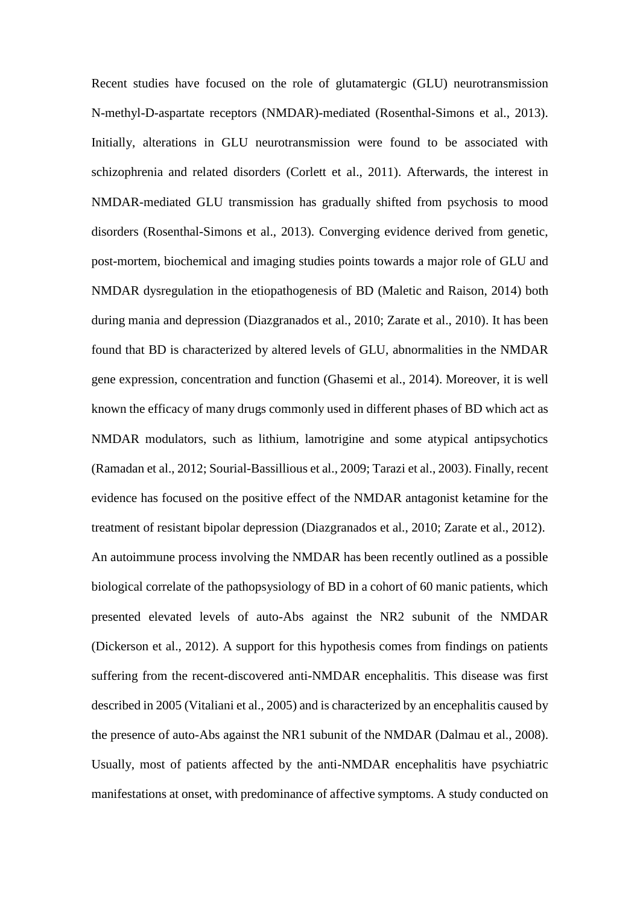Recent studies have focused on the role of glutamatergic (GLU) neurotransmission N-methyl-D-aspartate receptors (NMDAR)-mediated (Rosenthal-Simons et al., 2013). Initially, alterations in GLU neurotransmission were found to be associated with schizophrenia and related disorders (Corlett et al., 2011). Afterwards, the interest in NMDAR-mediated GLU transmission has gradually shifted from psychosis to mood disorders (Rosenthal-Simons et al., 2013). Converging evidence derived from genetic, post-mortem, biochemical and imaging studies points towards a major role of GLU and NMDAR dysregulation in the etiopathogenesis of BD (Maletic and Raison, 2014) both during mania and depression (Diazgranados et al., 2010; Zarate et al., 2010). It has been found that BD is characterized by altered levels of GLU, abnormalities in the NMDAR gene expression, concentration and function (Ghasemi et al., 2014). Moreover, it is well known the efficacy of many drugs commonly used in different phases of BD which act as NMDAR modulators, such as lithium, lamotrigine and some atypical antipsychotics (Ramadan et al., 2012; Sourial-Bassillious et al., 2009; Tarazi et al., 2003). Finally, recent evidence has focused on the positive effect of the NMDAR antagonist ketamine for the treatment of resistant bipolar depression (Diazgranados et al., 2010; Zarate et al., 2012). An autoimmune process involving the NMDAR has been recently outlined as a possible biological correlate of the pathopsysiology of BD in a cohort of 60 manic patients, which presented elevated levels of auto-Abs against the NR2 subunit of the NMDAR (Dickerson et al., 2012). A support for this hypothesis comes from findings on patients suffering from the recent-discovered anti-NMDAR encephalitis. This disease was first described in 2005 (Vitaliani et al., 2005) and is characterized by an encephalitis caused by the presence of auto-Abs against the NR1 subunit of the NMDAR (Dalmau et al., 2008). Usually, most of patients affected by the anti-NMDAR encephalitis have psychiatric manifestations at onset, with predominance of affective symptoms. A study conducted on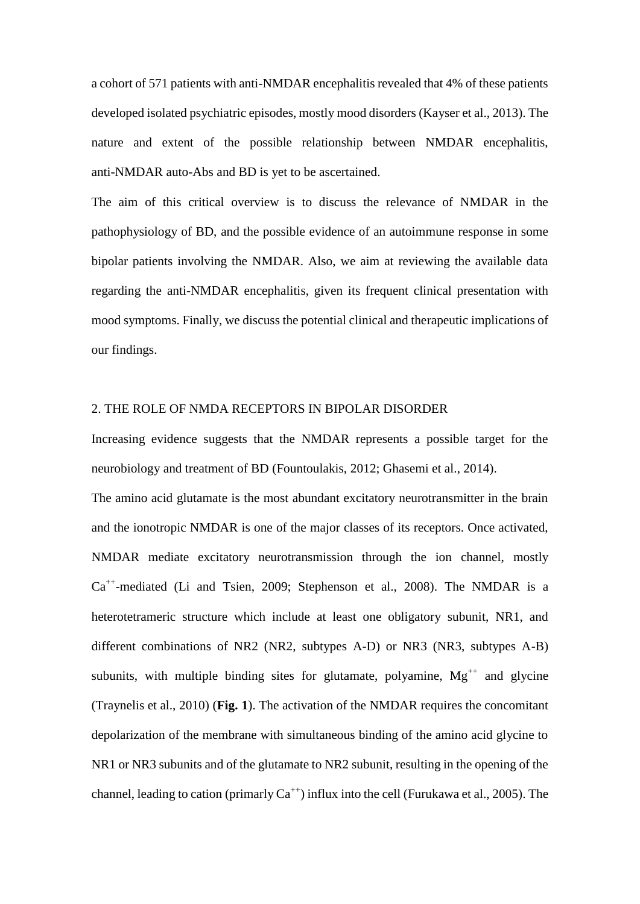a cohort of 571 patients with anti-NMDAR encephalitis revealed that 4% of these patients developed isolated psychiatric episodes, mostly mood disorders (Kayser et al., 2013). The nature and extent of the possible relationship between NMDAR encephalitis, anti-NMDAR auto-Abs and BD is yet to be ascertained.

The aim of this critical overview is to discuss the relevance of NMDAR in the pathophysiology of BD, and the possible evidence of an autoimmune response in some bipolar patients involving the NMDAR. Also, we aim at reviewing the available data regarding the anti-NMDAR encephalitis, given its frequent clinical presentation with mood symptoms. Finally, we discuss the potential clinical and therapeutic implications of our findings.

# 2. THE ROLE OF NMDA RECEPTORS IN BIPOLAR DISORDER

Increasing evidence suggests that the NMDAR represents a possible target for the neurobiology and treatment of BD (Fountoulakis, 2012; Ghasemi et al., 2014).

The amino acid glutamate is the most abundant excitatory neurotransmitter in the brain and the ionotropic NMDAR is one of the major classes of its receptors. Once activated, NMDAR mediate excitatory neurotransmission through the ion channel, mostly Ca<sup>++</sup>-mediated (Li and Tsien, 2009; Stephenson et al., 2008). The NMDAR is a heterotetrameric structure which include at least one obligatory subunit, NR1, and different combinations of NR2 (NR2, subtypes A-D) or NR3 (NR3, subtypes A-B) subunits, with multiple binding sites for glutamate, polyamine,  $Mg^{++}$  and glycine (Traynelis et al., 2010) (**Fig. 1**). The activation of the NMDAR requires the concomitant depolarization of the membrane with simultaneous binding of the amino acid glycine to NR1 or NR3 subunits and of the glutamate to NR2 subunit, resulting in the opening of the channel, leading to cation (primarly  $Ca^{++}$ ) influx into the cell (Furukawa et al., 2005). The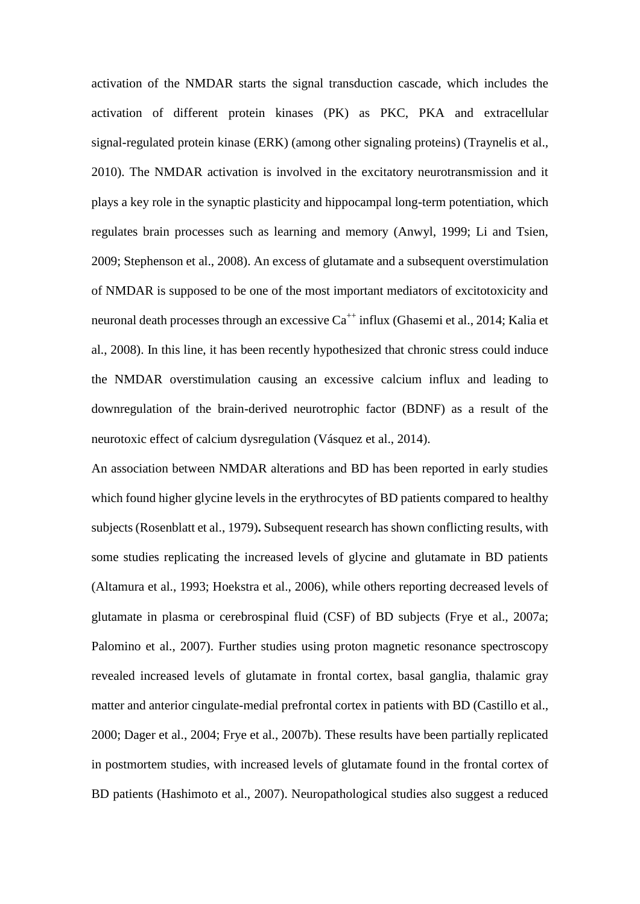activation of the NMDAR starts the signal transduction cascade, which includes the activation of different protein kinases (PK) as PKC, PKA and extracellular signal-regulated protein kinase (ERK) (among other signaling proteins) (Traynelis et al., 2010). The NMDAR activation is involved in the excitatory neurotransmission and it plays a key role in the synaptic plasticity and hippocampal long-term potentiation, which regulates brain processes such as learning and memory (Anwyl, 1999; Li and Tsien, 2009; Stephenson et al., 2008). An excess of glutamate and a subsequent overstimulation of NMDAR is supposed to be one of the most important mediators of excitotoxicity and neuronal death processes through an excessive  $Ca^{++}$  influx (Ghasemi et al., 2014; Kalia et al., 2008). In this line, it has been recently hypothesized that chronic stress could induce the NMDAR overstimulation causing an excessive calcium influx and leading to downregulation of the brain-derived neurotrophic factor (BDNF) as a result of the neurotoxic effect of calcium dysregulation (Vásquez et al., 2014).

An association between NMDAR alterations and BD has been reported in early studies which found higher glycine levels in the erythrocytes of BD patients compared to healthy subjects (Rosenblatt et al., 1979)**.** Subsequent research has shown conflicting results, with some studies replicating the increased levels of glycine and glutamate in BD patients (Altamura et al., 1993; Hoekstra et al., 2006), while others reporting decreased levels of glutamate in plasma or cerebrospinal fluid (CSF) of BD subjects (Frye et al., 2007a; Palomino et al., 2007). Further studies using proton magnetic resonance spectroscopy revealed increased levels of glutamate in frontal cortex, basal ganglia, thalamic gray matter and anterior cingulate-medial prefrontal cortex in patients with BD (Castillo et al., 2000; Dager et al., 2004; Frye et al., 2007b). These results have been partially replicated in postmortem studies, with increased levels of glutamate found in the frontal cortex of BD patients (Hashimoto et al., 2007). Neuropathological studies also suggest a reduced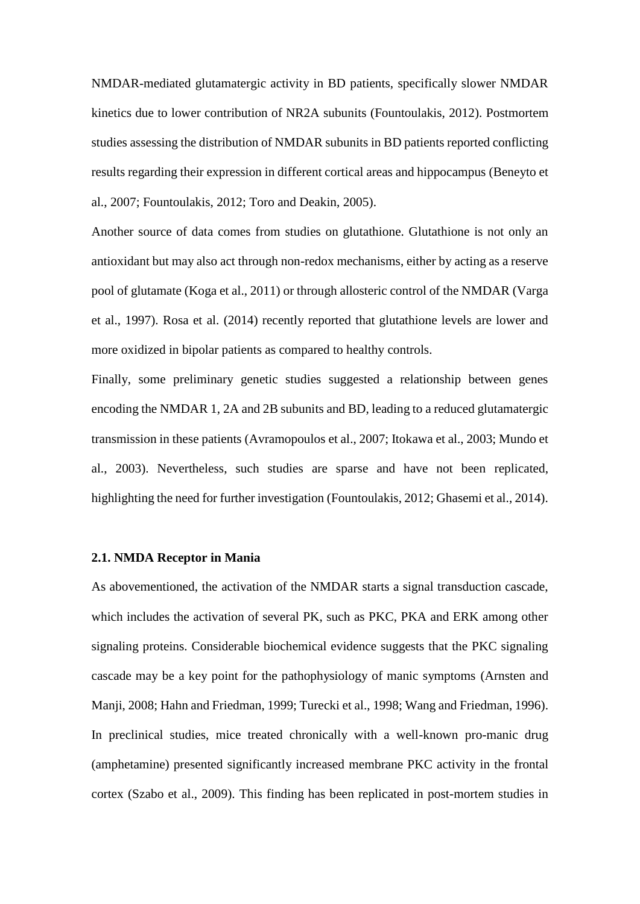NMDAR-mediated glutamatergic activity in BD patients, specifically slower NMDAR kinetics due to lower contribution of NR2A subunits (Fountoulakis, 2012). Postmortem studies assessing the distribution of NMDAR subunits in BD patients reported conflicting results regarding their expression in different cortical areas and hippocampus (Beneyto et al., 2007; Fountoulakis, 2012; Toro and Deakin, 2005).

Another source of data comes from studies on glutathione. Glutathione is not only an antioxidant but may also act through non-redox mechanisms, either by acting as a reserve pool of glutamate (Koga et al., 2011) or through allosteric control of the NMDAR (Varga et al., 1997). Rosa et al. (2014) recently reported that glutathione levels are lower and more oxidized in bipolar patients as compared to healthy controls.

Finally, some preliminary genetic studies suggested a relationship between genes encoding the NMDAR 1, 2A and 2B subunits and BD, leading to a reduced glutamatergic transmission in these patients (Avramopoulos et al., 2007; Itokawa et al., 2003; Mundo et al., 2003). Nevertheless, such studies are sparse and have not been replicated, highlighting the need for further investigation (Fountoulakis, 2012; Ghasemi et al., 2014).

# **2.1. NMDA Receptor in Mania**

As abovementioned, the activation of the NMDAR starts a signal transduction cascade, which includes the activation of several PK, such as PKC, PKA and ERK among other signaling proteins. Considerable biochemical evidence suggests that the PKC signaling cascade may be a key point for the pathophysiology of manic symptoms (Arnsten and Manji, 2008; Hahn and Friedman, 1999; Turecki et al., 1998; Wang and Friedman, 1996). In preclinical studies, mice treated chronically with a well-known pro-manic drug (amphetamine) presented significantly increased membrane PKC activity in the frontal cortex (Szabo et al., 2009). This finding has been replicated in post-mortem studies in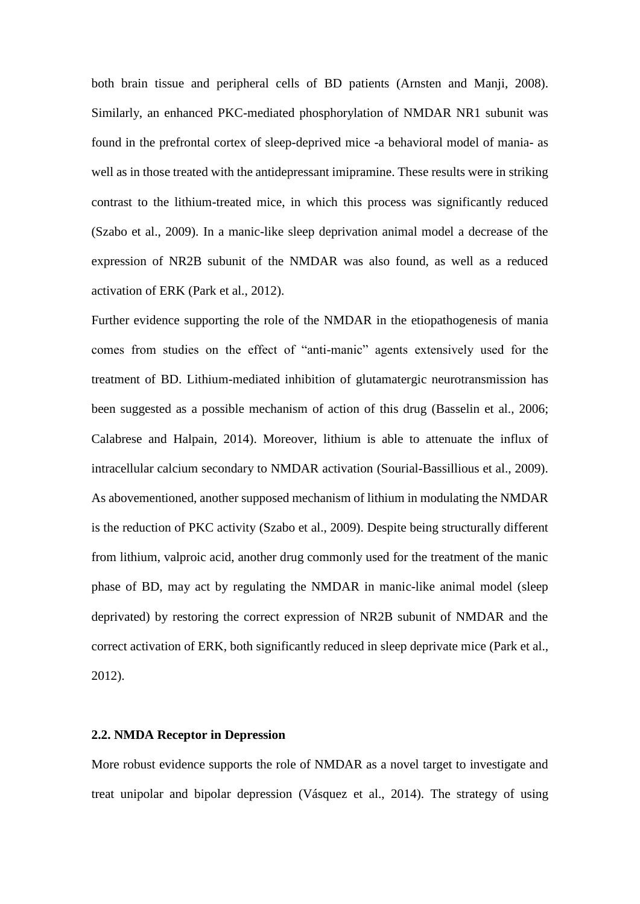both brain tissue and peripheral cells of BD patients (Arnsten and Manji, 2008). Similarly, an enhanced PKC-mediated phosphorylation of NMDAR NR1 subunit was found in the prefrontal cortex of sleep-deprived mice -a behavioral model of mania- as well as in those treated with the antidepressant imipramine. These results were in striking contrast to the lithium-treated mice, in which this process was significantly reduced (Szabo et al., 2009). In a manic-like sleep deprivation animal model a decrease of the expression of NR2B subunit of the NMDAR was also found, as well as a reduced activation of ERK (Park et al., 2012).

Further evidence supporting the role of the NMDAR in the etiopathogenesis of mania comes from studies on the effect of "anti-manic" agents extensively used for the treatment of BD. Lithium-mediated inhibition of glutamatergic neurotransmission has been suggested as a possible mechanism of action of this drug (Basselin et al., 2006; Calabrese and Halpain, 2014). Moreover, lithium is able to attenuate the influx of intracellular calcium secondary to NMDAR activation (Sourial-Bassillious et al., 2009). As abovementioned, another supposed mechanism of lithium in modulating the NMDAR is the reduction of PKC activity (Szabo et al., 2009). Despite being structurally different from lithium, valproic acid, another drug commonly used for the treatment of the manic phase of BD, may act by regulating the NMDAR in manic-like animal model (sleep deprivated) by restoring the correct expression of NR2B subunit of NMDAR and the correct activation of ERK, both significantly reduced in sleep deprivate mice (Park et al., 2012).

# **2.2. NMDA Receptor in Depression**

More robust evidence supports the role of NMDAR as a novel target to investigate and treat unipolar and bipolar depression (Vásquez et al., 2014). The strategy of using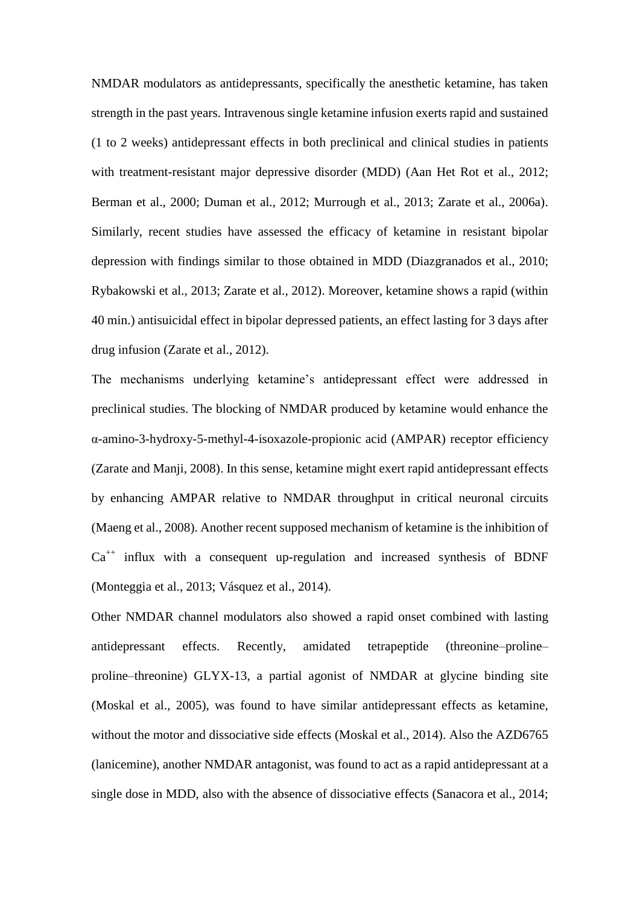NMDAR modulators as antidepressants, specifically the anesthetic ketamine, has taken strength in the past years. Intravenous single ketamine infusion exerts rapid and sustained (1 to 2 weeks) antidepressant effects in both preclinical and clinical studies in patients with treatment-resistant major depressive disorder (MDD) (Aan Het Rot et al., 2012; Berman et al., 2000; Duman et al., 2012; Murrough et al., 2013; Zarate et al., 2006a). Similarly, recent studies have assessed the efficacy of ketamine in resistant bipolar depression with findings similar to those obtained in MDD (Diazgranados et al., 2010; Rybakowski et al., 2013; Zarate et al., 2012). Moreover, ketamine shows a rapid (within 40 min.) antisuicidal effect in bipolar depressed patients, an effect lasting for 3 days after drug infusion (Zarate et al., 2012).

The mechanisms underlying ketamine's antidepressant effect were addressed in preclinical studies. The blocking of NMDAR produced by ketamine would enhance the α-amino-3-hydroxy-5-methyl-4-isoxazole-propionic acid (AMPAR) receptor efficiency (Zarate and Manji, 2008). In this sense, ketamine might exert rapid antidepressant effects by enhancing AMPAR relative to NMDAR throughput in critical neuronal circuits (Maeng et al., 2008). Another recent supposed mechanism of ketamine is the inhibition of  $Ca^{++}$  influx with a consequent up-regulation and increased synthesis of BDNF (Monteggia et al., 2013; Vásquez et al., 2014).

Other NMDAR channel modulators also showed a rapid onset combined with lasting antidepressant effects. Recently, amidated tetrapeptide (threonine–proline– proline–threonine) GLYX-13, a partial agonist of NMDAR at glycine binding site (Moskal et al., 2005), was found to have similar antidepressant effects as ketamine, without the motor and dissociative side effects (Moskal et al., 2014). Also the AZD6765 (lanicemine), another NMDAR antagonist, was found to act as a rapid antidepressant at a single dose in MDD, also with the absence of dissociative effects (Sanacora et al., 2014;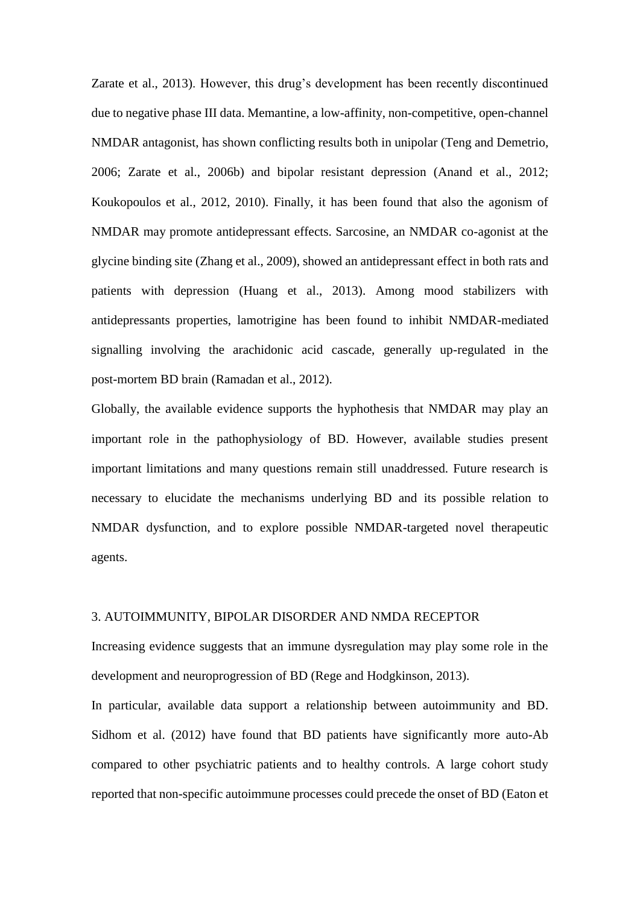Zarate et al., 2013). However, this drug's development has been recently discontinued due to negative phase III data. Memantine, a low-affinity, non-competitive, open-channel NMDAR antagonist, has shown conflicting results both in unipolar (Teng and Demetrio, 2006; Zarate et al., 2006b) and bipolar resistant depression (Anand et al., 2012; Koukopoulos et al., 2012, 2010). Finally, it has been found that also the agonism of NMDAR may promote antidepressant effects. Sarcosine, an NMDAR co-agonist at the glycine binding site (Zhang et al., 2009), showed an antidepressant effect in both rats and patients with depression (Huang et al., 2013). Among mood stabilizers with antidepressants properties, lamotrigine has been found to inhibit NMDAR-mediated signalling involving the arachidonic acid cascade, generally up-regulated in the post-mortem BD brain (Ramadan et al., 2012).

Globally, the available evidence supports the hyphothesis that NMDAR may play an important role in the pathophysiology of BD. However, available studies present important limitations and many questions remain still unaddressed. Future research is necessary to elucidate the mechanisms underlying BD and its possible relation to NMDAR dysfunction, and to explore possible NMDAR-targeted novel therapeutic agents.

# 3. AUTOIMMUNITY, BIPOLAR DISORDER AND NMDA RECEPTOR

Increasing evidence suggests that an immune dysregulation may play some role in the development and neuroprogression of BD (Rege and Hodgkinson, 2013).

In particular, available data support a relationship between autoimmunity and BD. Sidhom et al. (2012) have found that BD patients have significantly more auto-Ab compared to other psychiatric patients and to healthy controls. A large cohort study reported that non-specific autoimmune processes could precede the onset of BD (Eaton et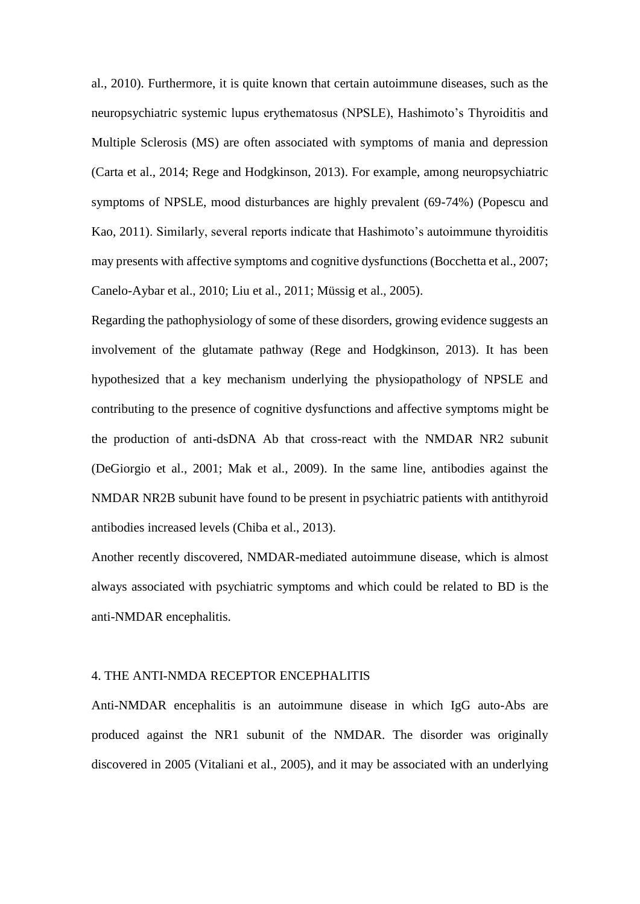al., 2010). Furthermore, it is quite known that certain autoimmune diseases, such as the neuropsychiatric systemic lupus erythematosus (NPSLE), Hashimoto's Thyroiditis and Multiple Sclerosis (MS) are often associated with symptoms of mania and depression (Carta et al., 2014; Rege and Hodgkinson, 2013). For example, among neuropsychiatric symptoms of NPSLE, mood disturbances are highly prevalent (69-74%) (Popescu and Kao, 2011). Similarly, several reports indicate that Hashimoto's autoimmune thyroiditis may presents with affective symptoms and cognitive dysfunctions (Bocchetta et al., 2007; Canelo-Aybar et al., 2010; Liu et al., 2011; Müssig et al., 2005).

Regarding the pathophysiology of some of these disorders, growing evidence suggests an involvement of the glutamate pathway (Rege and Hodgkinson, 2013). It has been hypothesized that a key mechanism underlying the physiopathology of NPSLE and contributing to the presence of cognitive dysfunctions and affective symptoms might be the production of anti-dsDNA Ab that cross-react with the NMDAR NR2 subunit (DeGiorgio et al., 2001; Mak et al., 2009). In the same line, antibodies against the NMDAR NR2B subunit have found to be present in psychiatric patients with antithyroid antibodies increased levels (Chiba et al., 2013).

Another recently discovered, NMDAR-mediated autoimmune disease, which is almost always associated with psychiatric symptoms and which could be related to BD is the anti-NMDAR encephalitis.

# 4. THE ANTI-NMDA RECEPTOR ENCEPHALITIS

Anti-NMDAR encephalitis is an autoimmune disease in which IgG auto-Abs are produced against the NR1 subunit of the NMDAR. The disorder was originally discovered in 2005 (Vitaliani et al., 2005), and it may be associated with an underlying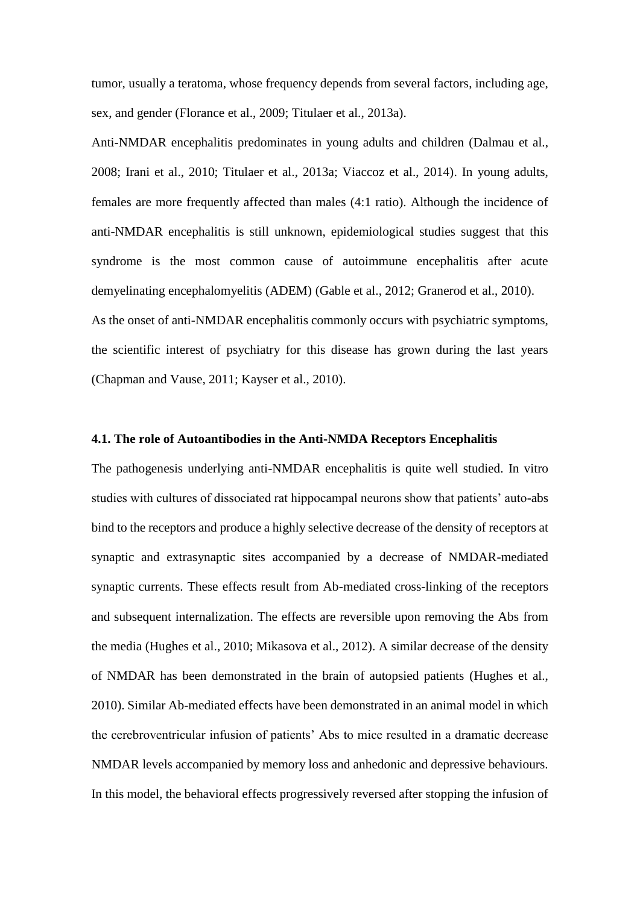tumor, usually a teratoma, whose frequency depends from several factors, including age, sex, and gender (Florance et al., 2009; Titulaer et al., 2013a).

Anti-NMDAR encephalitis predominates in young adults and children (Dalmau et al., 2008; Irani et al., 2010; Titulaer et al., 2013a; Viaccoz et al., 2014). In young adults, females are more frequently affected than males (4:1 ratio). Although the incidence of anti-NMDAR encephalitis is still unknown, epidemiological studies suggest that this syndrome is the most common cause of autoimmune encephalitis after acute demyelinating encephalomyelitis (ADEM) (Gable et al., 2012; Granerod et al., 2010). As the onset of anti-NMDAR encephalitis commonly occurs with psychiatric symptoms, the scientific interest of psychiatry for this disease has grown during the last years (Chapman and Vause, 2011; Kayser et al., 2010).

#### **4.1. The role of Autoantibodies in the Anti-NMDA Receptors Encephalitis**

The pathogenesis underlying anti-NMDAR encephalitis is quite well studied. In vitro studies with cultures of dissociated rat hippocampal neurons show that patients' auto-abs bind to the receptors and produce a highly selective decrease of the density of receptors at synaptic and extrasynaptic sites accompanied by a decrease of NMDAR-mediated synaptic currents. These effects result from Ab-mediated cross-linking of the receptors and subsequent internalization. The effects are reversible upon removing the Abs from the media (Hughes et al., 2010; Mikasova et al., 2012). A similar decrease of the density of NMDAR has been demonstrated in the brain of autopsied patients (Hughes et al., 2010). Similar Ab-mediated effects have been demonstrated in an animal model in which the cerebroventricular infusion of patients' Abs to mice resulted in a dramatic decrease NMDAR levels accompanied by memory loss and anhedonic and depressive behaviours. In this model, the behavioral effects progressively reversed after stopping the infusion of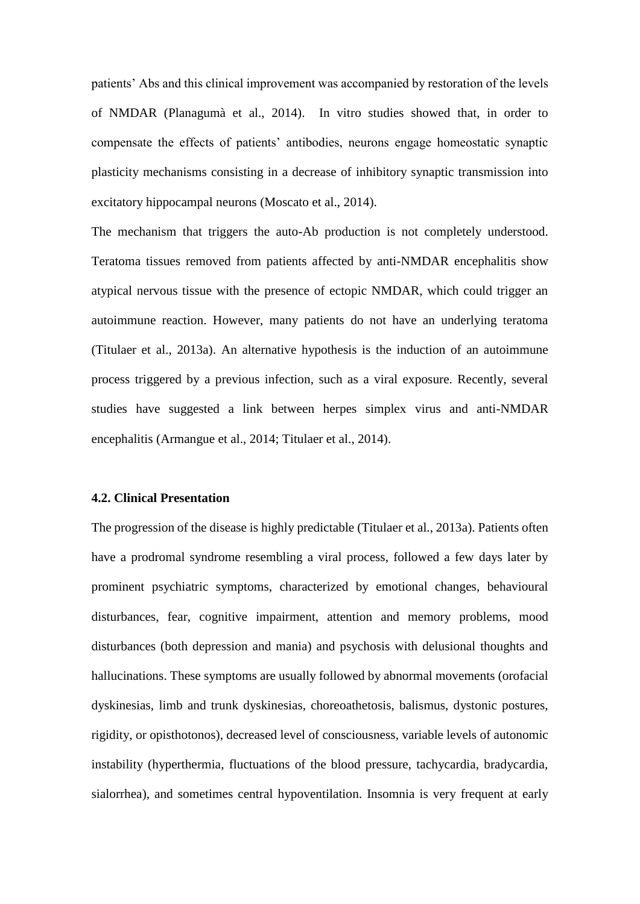patients' Abs and this clinical improvement was accompanied by restoration of the levels of NMDAR (Planagumà et al., 2014). In vitro studies showed that, in order to compensate the effects of patients' antibodies, neurons engage homeostatic synaptic plasticity mechanisms consisting in a decrease of inhibitory synaptic transmission into excitatory hippocampal neurons (Moscato et al., 2014).

The mechanism that triggers the auto-Ab production is not completely understood. Teratoma tissues removed from patients affected by anti-NMDAR encephalitis show atypical nervous tissue with the presence of ectopic NMDAR, which could trigger an autoimmune reaction. However, many patients do not have an underlying teratoma (Titulaer et al., 2013a). An alternative hypothesis is the induction of an autoimmune process triggered by a previous infection, such as a viral exposure. Recently, several studies have suggested a link between herpes simplex virus and anti-NMDAR encephalitis (Armangue et al., 2014; Titulaer et al., 2014).

#### **4.2. Clinical Presentation**

The progression of the disease is highly predictable (Titulaer et al., 2013a). Patients often have a prodromal syndrome resembling a viral process, followed a few days later by prominent psychiatric symptoms, characterized by emotional changes, behavioural disturbances, fear, cognitive impairment, attention and memory problems, mood disturbances (both depression and mania) and psychosis with delusional thoughts and hallucinations. These symptoms are usually followed by abnormal movements (orofacial dyskinesias, limb and trunk dyskinesias, choreoathetosis, balismus, dystonic postures, rigidity, or opisthotonos), decreased level of consciousness, variable levels of autonomic instability (hyperthermia, fluctuations of the blood pressure, tachycardia, bradycardia, sialorrhea), and sometimes central hypoventilation. Insomnia is very frequent at early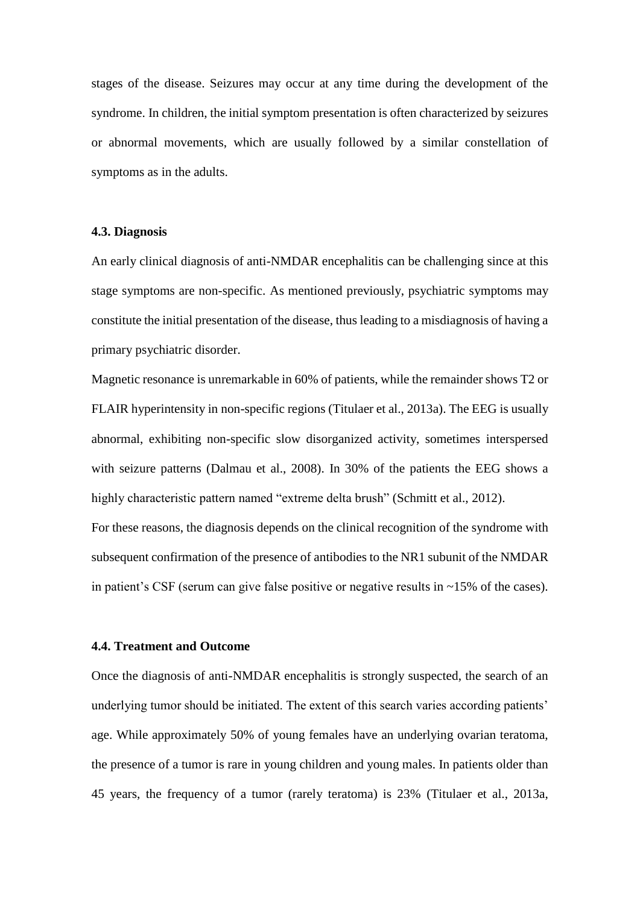stages of the disease. Seizures may occur at any time during the development of the syndrome. In children, the initial symptom presentation is often characterized by seizures or abnormal movements, which are usually followed by a similar constellation of symptoms as in the adults.

#### **4.3. Diagnosis**

An early clinical diagnosis of anti-NMDAR encephalitis can be challenging since at this stage symptoms are non-specific. As mentioned previously, psychiatric symptoms may constitute the initial presentation of the disease, thus leading to a misdiagnosis of having a primary psychiatric disorder.

Magnetic resonance is unremarkable in 60% of patients, while the remainder shows T2 or FLAIR hyperintensity in non-specific regions (Titulaer et al., 2013a). The EEG is usually abnormal, exhibiting non-specific slow disorganized activity, sometimes interspersed with seizure patterns (Dalmau et al., 2008). In 30% of the patients the EEG shows a highly characteristic pattern named "extreme delta brush" (Schmitt et al., 2012). For these reasons, the diagnosis depends on the clinical recognition of the syndrome with subsequent confirmation of the presence of antibodies to the NR1 subunit of the NMDAR

in patient's CSF (serum can give false positive or negative results in ~15% of the cases).

#### **4.4. Treatment and Outcome**

Once the diagnosis of anti-NMDAR encephalitis is strongly suspected, the search of an underlying tumor should be initiated. The extent of this search varies according patients' age. While approximately 50% of young females have an underlying ovarian teratoma, the presence of a tumor is rare in young children and young males. In patients older than 45 years, the frequency of a tumor (rarely teratoma) is 23% (Titulaer et al., 2013a,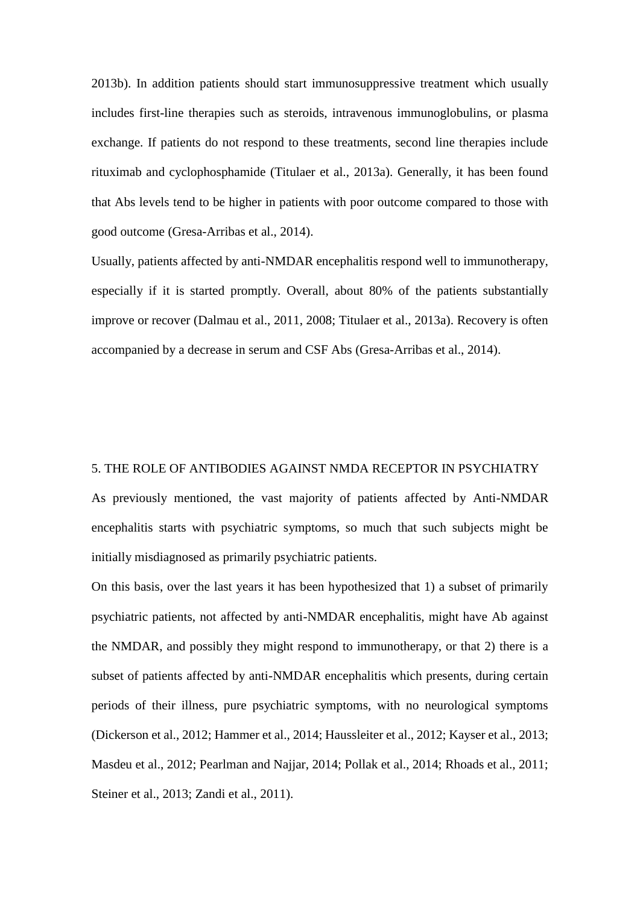2013b). In addition patients should start immunosuppressive treatment which usually includes first-line therapies such as steroids, intravenous immunoglobulins, or plasma exchange. If patients do not respond to these treatments, second line therapies include rituximab and cyclophosphamide (Titulaer et al., 2013a). Generally, it has been found that Abs levels tend to be higher in patients with poor outcome compared to those with good outcome (Gresa-Arribas et al., 2014).

Usually, patients affected by anti-NMDAR encephalitis respond well to immunotherapy, especially if it is started promptly. Overall, about 80% of the patients substantially improve or recover (Dalmau et al., 2011, 2008; Titulaer et al., 2013a). Recovery is often accompanied by a decrease in serum and CSF Abs (Gresa-Arribas et al., 2014).

## 5. THE ROLE OF ANTIBODIES AGAINST NMDA RECEPTOR IN PSYCHIATRY

As previously mentioned, the vast majority of patients affected by Anti-NMDAR encephalitis starts with psychiatric symptoms, so much that such subjects might be initially misdiagnosed as primarily psychiatric patients.

On this basis, over the last years it has been hypothesized that 1) a subset of primarily psychiatric patients, not affected by anti-NMDAR encephalitis, might have Ab against the NMDAR, and possibly they might respond to immunotherapy, or that 2) there is a subset of patients affected by anti-NMDAR encephalitis which presents, during certain periods of their illness, pure psychiatric symptoms, with no neurological symptoms (Dickerson et al., 2012; Hammer et al., 2014; Haussleiter et al., 2012; Kayser et al., 2013; Masdeu et al., 2012; Pearlman and Najjar, 2014; Pollak et al., 2014; Rhoads et al., 2011; Steiner et al., 2013; Zandi et al., 2011).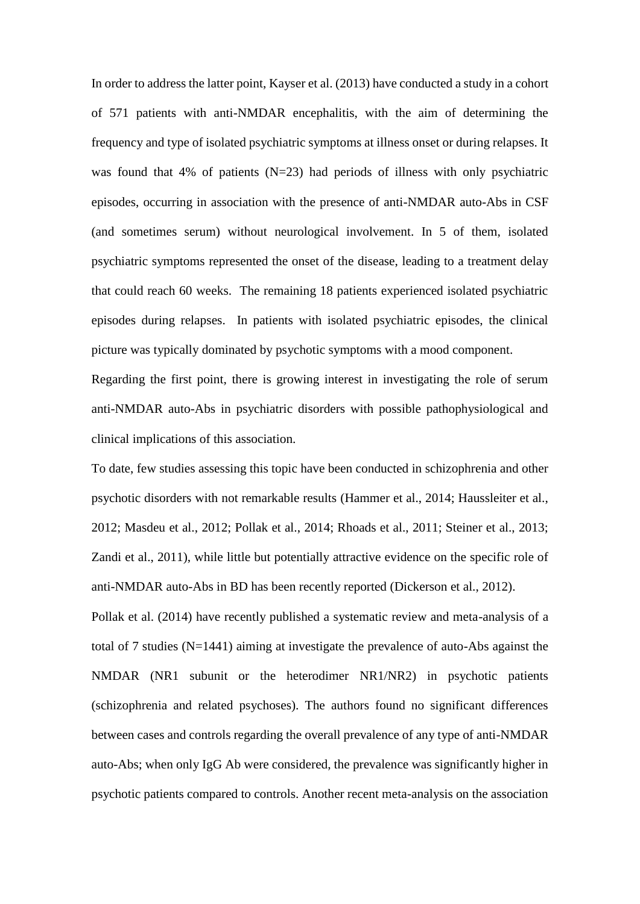In order to address the latter point, Kayser et al. (2013) have conducted a study in a cohort of 571 patients with anti-NMDAR encephalitis, with the aim of determining the frequency and type of isolated psychiatric symptoms at illness onset or during relapses. It was found that 4% of patients  $(N=23)$  had periods of illness with only psychiatric episodes, occurring in association with the presence of anti-NMDAR auto-Abs in CSF (and sometimes serum) without neurological involvement. In 5 of them, isolated psychiatric symptoms represented the onset of the disease, leading to a treatment delay that could reach 60 weeks. The remaining 18 patients experienced isolated psychiatric episodes during relapses. In patients with isolated psychiatric episodes, the clinical picture was typically dominated by psychotic symptoms with a mood component.

Regarding the first point, there is growing interest in investigating the role of serum anti-NMDAR auto-Abs in psychiatric disorders with possible pathophysiological and clinical implications of this association.

To date, few studies assessing this topic have been conducted in schizophrenia and other psychotic disorders with not remarkable results (Hammer et al., 2014; Haussleiter et al., 2012; Masdeu et al., 2012; Pollak et al., 2014; Rhoads et al., 2011; Steiner et al., 2013; Zandi et al., 2011), while little but potentially attractive evidence on the specific role of anti-NMDAR auto-Abs in BD has been recently reported (Dickerson et al., 2012).

Pollak et al. (2014) have recently published a systematic review and meta-analysis of a total of 7 studies (N=1441) aiming at investigate the prevalence of auto-Abs against the NMDAR (NR1 subunit or the heterodimer NR1/NR2) in psychotic patients (schizophrenia and related psychoses). The authors found no significant differences between cases and controls regarding the overall prevalence of any type of anti-NMDAR auto-Abs; when only IgG Ab were considered, the prevalence was significantly higher in psychotic patients compared to controls. Another recent meta-analysis on the association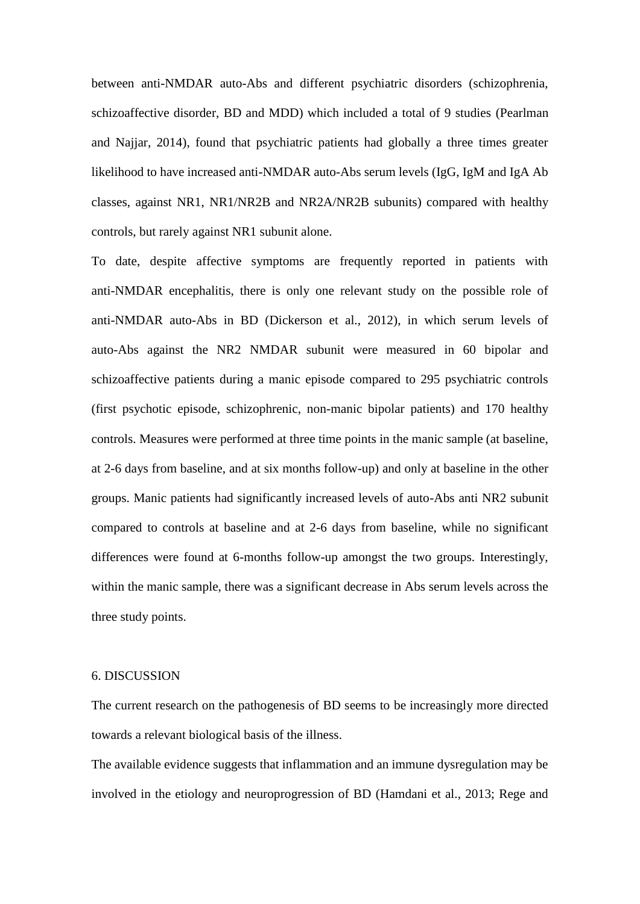between anti-NMDAR auto-Abs and different psychiatric disorders (schizophrenia, schizoaffective disorder, BD and MDD) which included a total of 9 studies (Pearlman and Najjar, 2014), found that psychiatric patients had globally a three times greater likelihood to have increased anti-NMDAR auto-Abs serum levels (IgG, IgM and IgA Ab classes, against NR1, NR1/NR2B and NR2A/NR2B subunits) compared with healthy controls, but rarely against NR1 subunit alone.

To date, despite affective symptoms are frequently reported in patients with anti-NMDAR encephalitis, there is only one relevant study on the possible role of anti-NMDAR auto-Abs in BD (Dickerson et al., 2012), in which serum levels of auto-Abs against the NR2 NMDAR subunit were measured in 60 bipolar and schizoaffective patients during a manic episode compared to 295 psychiatric controls (first psychotic episode, schizophrenic, non-manic bipolar patients) and 170 healthy controls. Measures were performed at three time points in the manic sample (at baseline, at 2-6 days from baseline, and at six months follow-up) and only at baseline in the other groups. Manic patients had significantly increased levels of auto-Abs anti NR2 subunit compared to controls at baseline and at 2-6 days from baseline, while no significant differences were found at 6-months follow-up amongst the two groups. Interestingly, within the manic sample, there was a significant decrease in Abs serum levels across the three study points.

# 6. DISCUSSION

The current research on the pathogenesis of BD seems to be increasingly more directed towards a relevant biological basis of the illness.

The available evidence suggests that inflammation and an immune dysregulation may be involved in the etiology and neuroprogression of BD (Hamdani et al., 2013; Rege and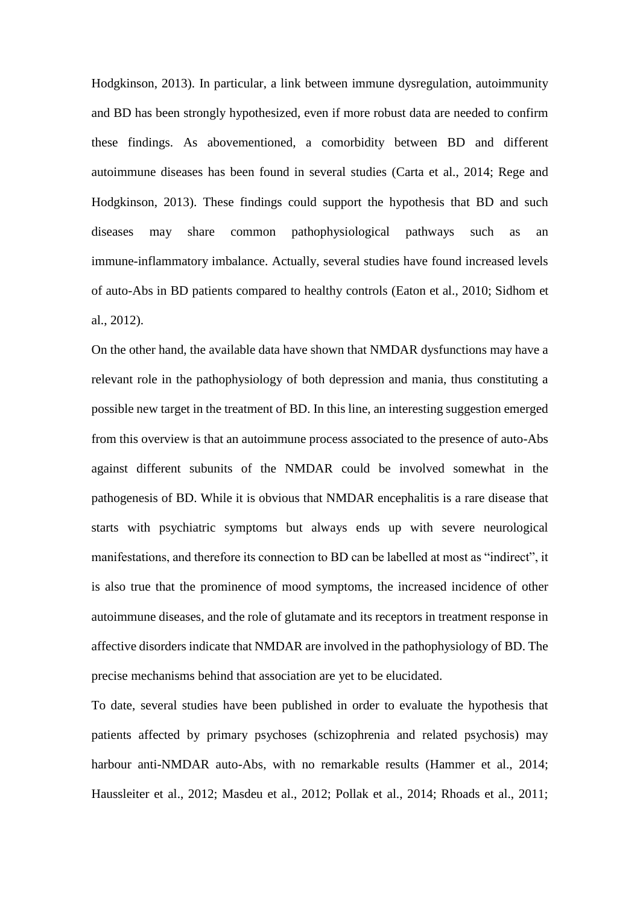Hodgkinson, 2013). In particular, a link between immune dysregulation, autoimmunity and BD has been strongly hypothesized, even if more robust data are needed to confirm these findings. As abovementioned, a comorbidity between BD and different autoimmune diseases has been found in several studies (Carta et al., 2014; Rege and Hodgkinson, 2013). These findings could support the hypothesis that BD and such diseases may share common pathophysiological pathways such as an immune-inflammatory imbalance. Actually, several studies have found increased levels of auto-Abs in BD patients compared to healthy controls (Eaton et al., 2010; Sidhom et al., 2012).

On the other hand, the available data have shown that NMDAR dysfunctions may have a relevant role in the pathophysiology of both depression and mania, thus constituting a possible new target in the treatment of BD. In this line, an interesting suggestion emerged from this overview is that an autoimmune process associated to the presence of auto-Abs against different subunits of the NMDAR could be involved somewhat in the pathogenesis of BD. While it is obvious that NMDAR encephalitis is a rare disease that starts with psychiatric symptoms but always ends up with severe neurological manifestations, and therefore its connection to BD can be labelled at most as "indirect", it is also true that the prominence of mood symptoms, the increased incidence of other autoimmune diseases, and the role of glutamate and its receptors in treatment response in affective disorders indicate that NMDAR are involved in the pathophysiology of BD. The precise mechanisms behind that association are yet to be elucidated.

To date, several studies have been published in order to evaluate the hypothesis that patients affected by primary psychoses (schizophrenia and related psychosis) may harbour anti-NMDAR auto-Abs, with no remarkable results (Hammer et al., 2014; Haussleiter et al., 2012; Masdeu et al., 2012; Pollak et al., 2014; Rhoads et al., 2011;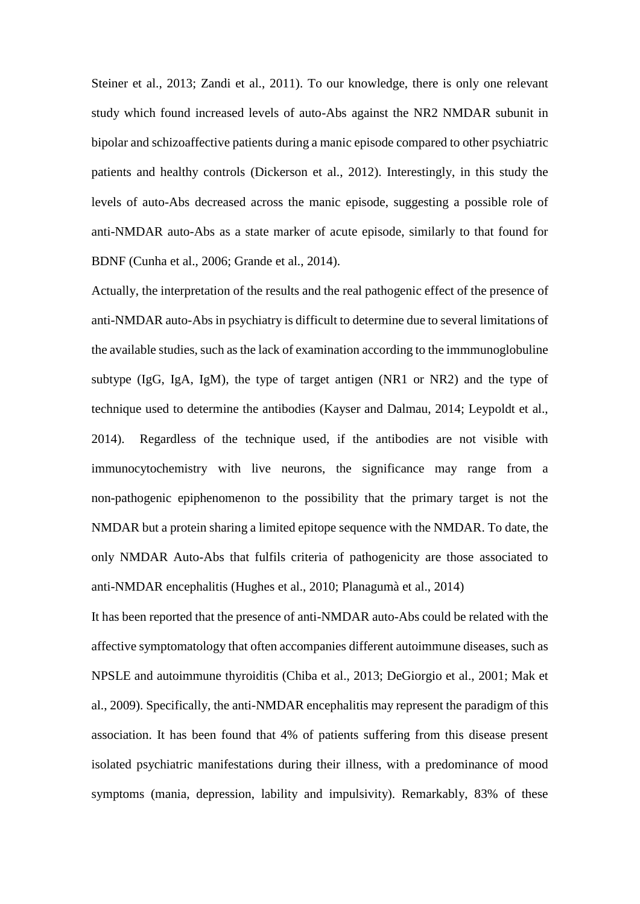Steiner et al., 2013; Zandi et al., 2011). To our knowledge, there is only one relevant study which found increased levels of auto-Abs against the NR2 NMDAR subunit in bipolar and schizoaffective patients during a manic episode compared to other psychiatric patients and healthy controls (Dickerson et al., 2012). Interestingly, in this study the levels of auto-Abs decreased across the manic episode, suggesting a possible role of anti-NMDAR auto-Abs as a state marker of acute episode, similarly to that found for BDNF (Cunha et al., 2006; Grande et al., 2014).

Actually, the interpretation of the results and the real pathogenic effect of the presence of anti-NMDAR auto-Abs in psychiatry is difficult to determine due to several limitations of the available studies, such as the lack of examination according to the immmunoglobuline subtype (IgG, IgA, IgM), the type of target antigen (NR1 or NR2) and the type of technique used to determine the antibodies (Kayser and Dalmau, 2014; Leypoldt et al., 2014). Regardless of the technique used, if the antibodies are not visible with immunocytochemistry with live neurons, the significance may range from a non-pathogenic epiphenomenon to the possibility that the primary target is not the NMDAR but a protein sharing a limited epitope sequence with the NMDAR. To date, the only NMDAR Auto-Abs that fulfils criteria of pathogenicity are those associated to anti-NMDAR encephalitis (Hughes et al., 2010; Planagumà et al., 2014)

It has been reported that the presence of anti-NMDAR auto-Abs could be related with the affective symptomatology that often accompanies different autoimmune diseases, such as NPSLE and autoimmune thyroiditis (Chiba et al., 2013; DeGiorgio et al., 2001; Mak et al., 2009). Specifically, the anti-NMDAR encephalitis may represent the paradigm of this association. It has been found that 4% of patients suffering from this disease present isolated psychiatric manifestations during their illness, with a predominance of mood symptoms (mania, depression, lability and impulsivity). Remarkably, 83% of these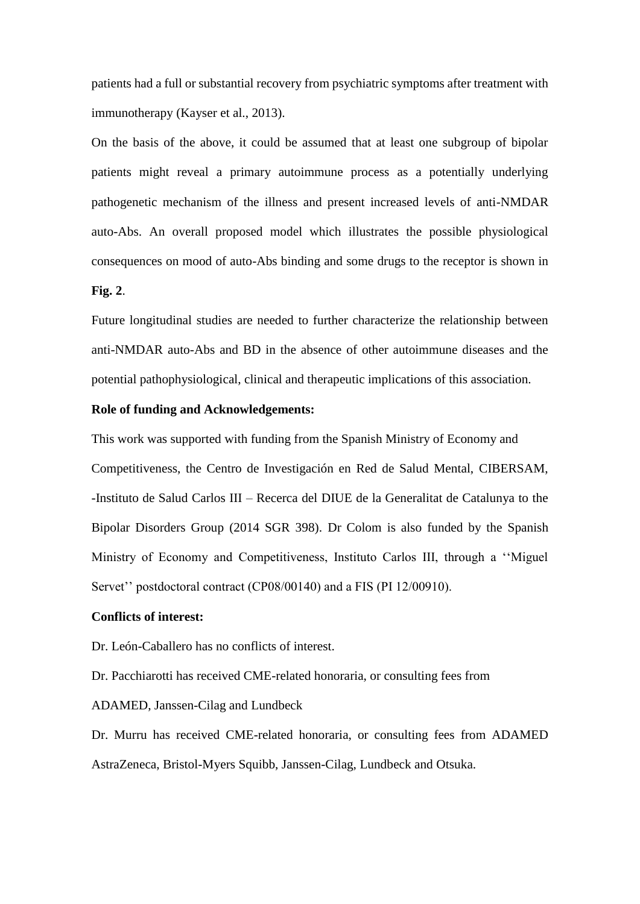patients had a full or substantial recovery from psychiatric symptoms after treatment with immunotherapy (Kayser et al., 2013).

On the basis of the above, it could be assumed that at least one subgroup of bipolar patients might reveal a primary autoimmune process as a potentially underlying pathogenetic mechanism of the illness and present increased levels of anti-NMDAR auto-Abs. An overall proposed model which illustrates the possible physiological consequences on mood of auto-Abs binding and some drugs to the receptor is shown in **Fig. 2**.

Future longitudinal studies are needed to further characterize the relationship between anti-NMDAR auto-Abs and BD in the absence of other autoimmune diseases and the potential pathophysiological, clinical and therapeutic implications of this association.

#### **Role of funding and Acknowledgements:**

This work was supported with funding from the Spanish Ministry of Economy and Competitiveness, the Centro de Investigación en Red de Salud Mental, CIBERSAM, -Instituto de Salud Carlos III – Recerca del DIUE de la Generalitat de Catalunya to the Bipolar Disorders Group (2014 SGR 398). Dr Colom is also funded by the Spanish Ministry of Economy and Competitiveness, Instituto Carlos III, through a ''Miguel Servet" postdoctoral contract (CP08/00140) and a FIS (PI 12/00910).

# **Conflicts of interest:**

Dr. León-Caballero has no conflicts of interest.

Dr. Pacchiarotti has received CME-related honoraria, or consulting fees from

ADAMED, Janssen-Cilag and Lundbeck

Dr. Murru has received CME-related honoraria, or consulting fees from ADAMED AstraZeneca, Bristol-Myers Squibb, Janssen-Cilag, Lundbeck and Otsuka.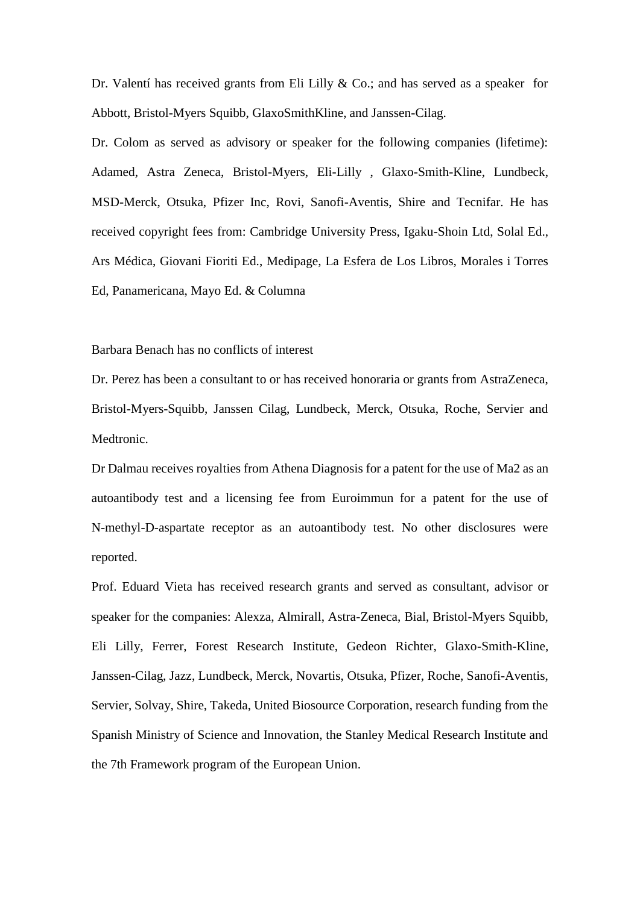Dr. Valentí has received grants from Eli Lilly & Co.; and has served as a speaker for Abbott, Bristol-Myers Squibb, GlaxoSmithKline, and Janssen-Cilag.

Dr. Colom as served as advisory or speaker for the following companies (lifetime): Adamed, Astra Zeneca, Bristol-Myers, Eli-Lilly , Glaxo-Smith-Kline, Lundbeck, MSD-Merck, Otsuka, Pfizer Inc, Rovi, Sanofi-Aventis, Shire and Tecnifar. He has received copyright fees from: Cambridge University Press, Igaku-Shoin Ltd, Solal Ed., Ars Médica, Giovani Fioriti Ed., Medipage, La Esfera de Los Libros, Morales i Torres Ed, Panamericana, Mayo Ed. & Columna

#### Barbara Benach has no conflicts of interest

Dr. Perez has been a consultant to or has received honoraria or grants from AstraZeneca, Bristol-Myers-Squibb, Janssen Cilag, Lundbeck, Merck, Otsuka, Roche, Servier and Medtronic.

Dr Dalmau receives royalties from Athena Diagnosis for a patent for the use of Ma2 as an autoantibody test and a licensing fee from Euroimmun for a patent for the use of N-methyl-D-aspartate receptor as an autoantibody test. No other disclosures were reported.

Prof. Eduard Vieta has received research grants and served as consultant, advisor or speaker for the companies: Alexza, Almirall, Astra-Zeneca, Bial, Bristol-Myers Squibb, Eli Lilly, Ferrer, Forest Research Institute, Gedeon Richter, Glaxo-Smith-Kline, Janssen-Cilag, Jazz, Lundbeck, Merck, Novartis, Otsuka, Pfizer, Roche, Sanofi-Aventis, Servier, Solvay, Shire, Takeda, United Biosource Corporation, research funding from the Spanish Ministry of Science and Innovation, the Stanley Medical Research Institute and the 7th Framework program of the European Union.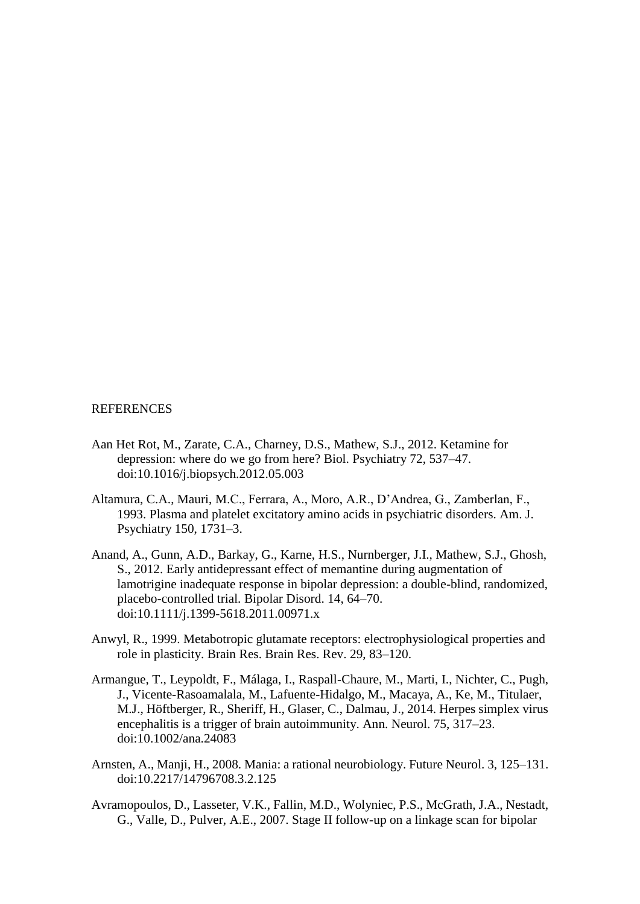#### REFERENCES

- Aan Het Rot, M., Zarate, C.A., Charney, D.S., Mathew, S.J., 2012. Ketamine for depression: where do we go from here? Biol. Psychiatry 72, 537–47. doi:10.1016/j.biopsych.2012.05.003
- Altamura, C.A., Mauri, M.C., Ferrara, A., Moro, A.R., D'Andrea, G., Zamberlan, F., 1993. Plasma and platelet excitatory amino acids in psychiatric disorders. Am. J. Psychiatry 150, 1731–3.
- Anand, A., Gunn, A.D., Barkay, G., Karne, H.S., Nurnberger, J.I., Mathew, S.J., Ghosh, S., 2012. Early antidepressant effect of memantine during augmentation of lamotrigine inadequate response in bipolar depression: a double-blind, randomized, placebo-controlled trial. Bipolar Disord. 14, 64–70. doi:10.1111/j.1399-5618.2011.00971.x
- Anwyl, R., 1999. Metabotropic glutamate receptors: electrophysiological properties and role in plasticity. Brain Res. Brain Res. Rev. 29, 83–120.
- Armangue, T., Leypoldt, F., Málaga, I., Raspall-Chaure, M., Marti, I., Nichter, C., Pugh, J., Vicente-Rasoamalala, M., Lafuente-Hidalgo, M., Macaya, A., Ke, M., Titulaer, M.J., Höftberger, R., Sheriff, H., Glaser, C., Dalmau, J., 2014. Herpes simplex virus encephalitis is a trigger of brain autoimmunity. Ann. Neurol. 75, 317–23. doi:10.1002/ana.24083
- Arnsten, A., Manji, H., 2008. Mania: a rational neurobiology. Future Neurol. 3, 125–131. doi:10.2217/14796708.3.2.125
- Avramopoulos, D., Lasseter, V.K., Fallin, M.D., Wolyniec, P.S., McGrath, J.A., Nestadt, G., Valle, D., Pulver, A.E., 2007. Stage II follow-up on a linkage scan for bipolar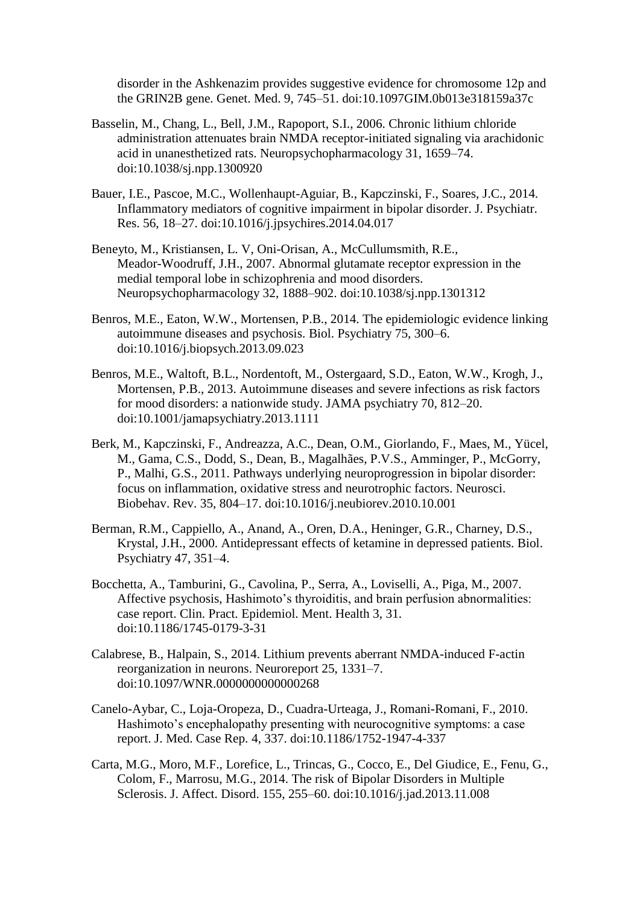disorder in the Ashkenazim provides suggestive evidence for chromosome 12p and the GRIN2B gene. Genet. Med. 9, 745–51. doi:10.1097GIM.0b013e318159a37c

- Basselin, M., Chang, L., Bell, J.M., Rapoport, S.I., 2006. Chronic lithium chloride administration attenuates brain NMDA receptor-initiated signaling via arachidonic acid in unanesthetized rats. Neuropsychopharmacology 31, 1659–74. doi:10.1038/sj.npp.1300920
- Bauer, I.E., Pascoe, M.C., Wollenhaupt-Aguiar, B., Kapczinski, F., Soares, J.C., 2014. Inflammatory mediators of cognitive impairment in bipolar disorder. J. Psychiatr. Res. 56, 18–27. doi:10.1016/j.jpsychires.2014.04.017
- Beneyto, M., Kristiansen, L. V, Oni-Orisan, A., McCullumsmith, R.E., Meador-Woodruff, J.H., 2007. Abnormal glutamate receptor expression in the medial temporal lobe in schizophrenia and mood disorders. Neuropsychopharmacology 32, 1888–902. doi:10.1038/sj.npp.1301312
- Benros, M.E., Eaton, W.W., Mortensen, P.B., 2014. The epidemiologic evidence linking autoimmune diseases and psychosis. Biol. Psychiatry 75, 300–6. doi:10.1016/j.biopsych.2013.09.023
- Benros, M.E., Waltoft, B.L., Nordentoft, M., Ostergaard, S.D., Eaton, W.W., Krogh, J., Mortensen, P.B., 2013. Autoimmune diseases and severe infections as risk factors for mood disorders: a nationwide study. JAMA psychiatry 70, 812–20. doi:10.1001/jamapsychiatry.2013.1111
- Berk, M., Kapczinski, F., Andreazza, A.C., Dean, O.M., Giorlando, F., Maes, M., Yücel, M., Gama, C.S., Dodd, S., Dean, B., Magalhães, P.V.S., Amminger, P., McGorry, P., Malhi, G.S., 2011. Pathways underlying neuroprogression in bipolar disorder: focus on inflammation, oxidative stress and neurotrophic factors. Neurosci. Biobehav. Rev. 35, 804–17. doi:10.1016/j.neubiorev.2010.10.001
- Berman, R.M., Cappiello, A., Anand, A., Oren, D.A., Heninger, G.R., Charney, D.S., Krystal, J.H., 2000. Antidepressant effects of ketamine in depressed patients. Biol. Psychiatry 47, 351–4.
- Bocchetta, A., Tamburini, G., Cavolina, P., Serra, A., Loviselli, A., Piga, M., 2007. Affective psychosis, Hashimoto's thyroiditis, and brain perfusion abnormalities: case report. Clin. Pract. Epidemiol. Ment. Health 3, 31. doi:10.1186/1745-0179-3-31
- Calabrese, B., Halpain, S., 2014. Lithium prevents aberrant NMDA-induced F-actin reorganization in neurons. Neuroreport 25, 1331–7. doi:10.1097/WNR.0000000000000268
- Canelo-Aybar, C., Loja-Oropeza, D., Cuadra-Urteaga, J., Romani-Romani, F., 2010. Hashimoto's encephalopathy presenting with neurocognitive symptoms: a case report. J. Med. Case Rep. 4, 337. doi:10.1186/1752-1947-4-337
- Carta, M.G., Moro, M.F., Lorefice, L., Trincas, G., Cocco, E., Del Giudice, E., Fenu, G., Colom, F., Marrosu, M.G., 2014. The risk of Bipolar Disorders in Multiple Sclerosis. J. Affect. Disord. 155, 255–60. doi:10.1016/j.jad.2013.11.008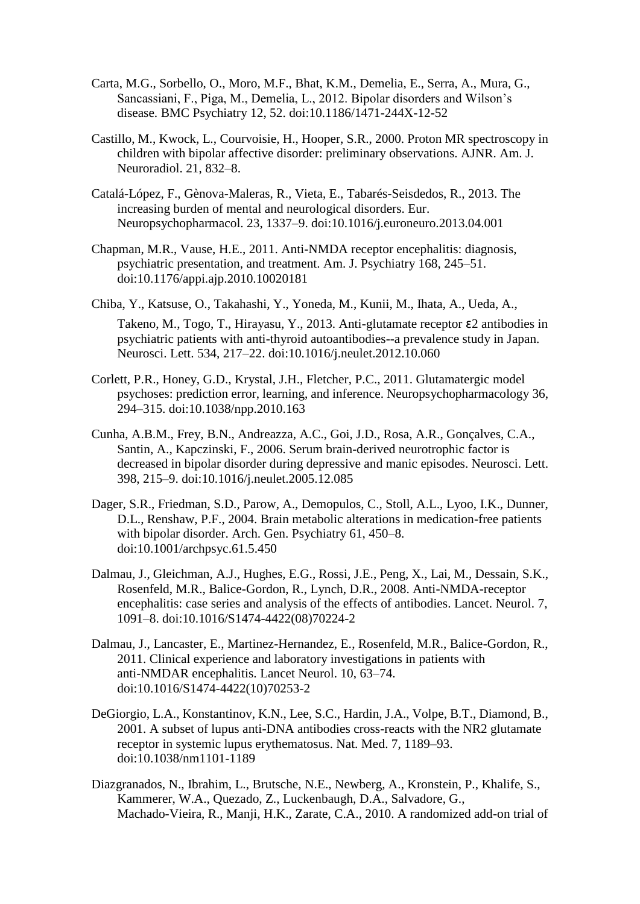- Carta, M.G., Sorbello, O., Moro, M.F., Bhat, K.M., Demelia, E., Serra, A., Mura, G., Sancassiani, F., Piga, M., Demelia, L., 2012. Bipolar disorders and Wilson's disease. BMC Psychiatry 12, 52. doi:10.1186/1471-244X-12-52
- Castillo, M., Kwock, L., Courvoisie, H., Hooper, S.R., 2000. Proton MR spectroscopy in children with bipolar affective disorder: preliminary observations. AJNR. Am. J. Neuroradiol. 21, 832–8.
- Catalá-López, F., Gènova-Maleras, R., Vieta, E., Tabarés-Seisdedos, R., 2013. The increasing burden of mental and neurological disorders. Eur. Neuropsychopharmacol. 23, 1337–9. doi:10.1016/j.euroneuro.2013.04.001
- Chapman, M.R., Vause, H.E., 2011. Anti-NMDA receptor encephalitis: diagnosis, psychiatric presentation, and treatment. Am. J. Psychiatry 168, 245–51. doi:10.1176/appi.ajp.2010.10020181
- Chiba, Y., Katsuse, O., Takahashi, Y., Yoneda, M., Kunii, M., Ihata, A., Ueda, A.,

Takeno, M., Togo, T., Hirayasu, Y., 2013. Anti-glutamate receptor ɛ2 antibodies in psychiatric patients with anti-thyroid autoantibodies--a prevalence study in Japan. Neurosci. Lett. 534, 217–22. doi:10.1016/j.neulet.2012.10.060

- Corlett, P.R., Honey, G.D., Krystal, J.H., Fletcher, P.C., 2011. Glutamatergic model psychoses: prediction error, learning, and inference. Neuropsychopharmacology 36, 294–315. doi:10.1038/npp.2010.163
- Cunha, A.B.M., Frey, B.N., Andreazza, A.C., Goi, J.D., Rosa, A.R., Gonçalves, C.A., Santin, A., Kapczinski, F., 2006. Serum brain-derived neurotrophic factor is decreased in bipolar disorder during depressive and manic episodes. Neurosci. Lett. 398, 215–9. doi:10.1016/j.neulet.2005.12.085
- Dager, S.R., Friedman, S.D., Parow, A., Demopulos, C., Stoll, A.L., Lyoo, I.K., Dunner, D.L., Renshaw, P.F., 2004. Brain metabolic alterations in medication-free patients with bipolar disorder. Arch. Gen. Psychiatry 61, 450–8. doi:10.1001/archpsyc.61.5.450
- Dalmau, J., Gleichman, A.J., Hughes, E.G., Rossi, J.E., Peng, X., Lai, M., Dessain, S.K., Rosenfeld, M.R., Balice-Gordon, R., Lynch, D.R., 2008. Anti-NMDA-receptor encephalitis: case series and analysis of the effects of antibodies. Lancet. Neurol. 7, 1091–8. doi:10.1016/S1474-4422(08)70224-2
- Dalmau, J., Lancaster, E., Martinez-Hernandez, E., Rosenfeld, M.R., Balice-Gordon, R., 2011. Clinical experience and laboratory investigations in patients with anti-NMDAR encephalitis. Lancet Neurol. 10, 63–74. doi:10.1016/S1474-4422(10)70253-2
- DeGiorgio, L.A., Konstantinov, K.N., Lee, S.C., Hardin, J.A., Volpe, B.T., Diamond, B., 2001. A subset of lupus anti-DNA antibodies cross-reacts with the NR2 glutamate receptor in systemic lupus erythematosus. Nat. Med. 7, 1189–93. doi:10.1038/nm1101-1189
- Diazgranados, N., Ibrahim, L., Brutsche, N.E., Newberg, A., Kronstein, P., Khalife, S., Kammerer, W.A., Quezado, Z., Luckenbaugh, D.A., Salvadore, G., Machado-Vieira, R., Manji, H.K., Zarate, C.A., 2010. A randomized add-on trial of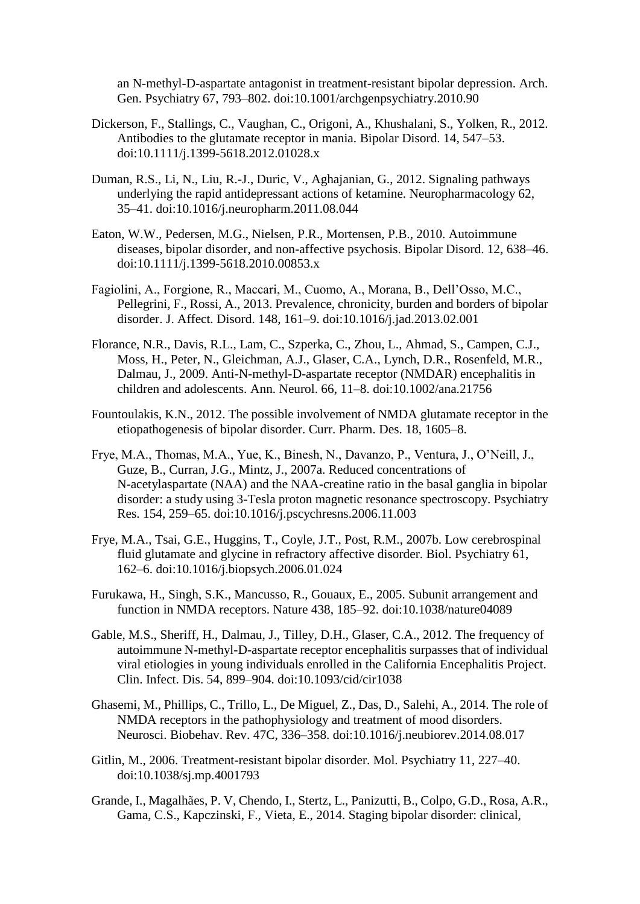an N-methyl-D-aspartate antagonist in treatment-resistant bipolar depression. Arch. Gen. Psychiatry 67, 793–802. doi:10.1001/archgenpsychiatry.2010.90

- Dickerson, F., Stallings, C., Vaughan, C., Origoni, A., Khushalani, S., Yolken, R., 2012. Antibodies to the glutamate receptor in mania. Bipolar Disord. 14, 547–53. doi:10.1111/j.1399-5618.2012.01028.x
- Duman, R.S., Li, N., Liu, R.-J., Duric, V., Aghajanian, G., 2012. Signaling pathways underlying the rapid antidepressant actions of ketamine. Neuropharmacology 62, 35–41. doi:10.1016/j.neuropharm.2011.08.044
- Eaton, W.W., Pedersen, M.G., Nielsen, P.R., Mortensen, P.B., 2010. Autoimmune diseases, bipolar disorder, and non-affective psychosis. Bipolar Disord. 12, 638–46. doi:10.1111/j.1399-5618.2010.00853.x
- Fagiolini, A., Forgione, R., Maccari, M., Cuomo, A., Morana, B., Dell'Osso, M.C., Pellegrini, F., Rossi, A., 2013. Prevalence, chronicity, burden and borders of bipolar disorder. J. Affect. Disord. 148, 161–9. doi:10.1016/j.jad.2013.02.001
- Florance, N.R., Davis, R.L., Lam, C., Szperka, C., Zhou, L., Ahmad, S., Campen, C.J., Moss, H., Peter, N., Gleichman, A.J., Glaser, C.A., Lynch, D.R., Rosenfeld, M.R., Dalmau, J., 2009. Anti-N-methyl-D-aspartate receptor (NMDAR) encephalitis in children and adolescents. Ann. Neurol. 66, 11–8. doi:10.1002/ana.21756
- Fountoulakis, K.N., 2012. The possible involvement of NMDA glutamate receptor in the etiopathogenesis of bipolar disorder. Curr. Pharm. Des. 18, 1605–8.
- Frye, M.A., Thomas, M.A., Yue, K., Binesh, N., Davanzo, P., Ventura, J., O'Neill, J., Guze, B., Curran, J.G., Mintz, J., 2007a. Reduced concentrations of N-acetylaspartate (NAA) and the NAA-creatine ratio in the basal ganglia in bipolar disorder: a study using 3-Tesla proton magnetic resonance spectroscopy. Psychiatry Res. 154, 259–65. doi:10.1016/j.pscychresns.2006.11.003
- Frye, M.A., Tsai, G.E., Huggins, T., Coyle, J.T., Post, R.M., 2007b. Low cerebrospinal fluid glutamate and glycine in refractory affective disorder. Biol. Psychiatry 61, 162–6. doi:10.1016/j.biopsych.2006.01.024
- Furukawa, H., Singh, S.K., Mancusso, R., Gouaux, E., 2005. Subunit arrangement and function in NMDA receptors. Nature 438, 185–92. doi:10.1038/nature04089
- Gable, M.S., Sheriff, H., Dalmau, J., Tilley, D.H., Glaser, C.A., 2012. The frequency of autoimmune N-methyl-D-aspartate receptor encephalitis surpasses that of individual viral etiologies in young individuals enrolled in the California Encephalitis Project. Clin. Infect. Dis. 54, 899–904. doi:10.1093/cid/cir1038
- Ghasemi, M., Phillips, C., Trillo, L., De Miguel, Z., Das, D., Salehi, A., 2014. The role of NMDA receptors in the pathophysiology and treatment of mood disorders. Neurosci. Biobehav. Rev. 47C, 336–358. doi:10.1016/j.neubiorev.2014.08.017
- Gitlin, M., 2006. Treatment-resistant bipolar disorder. Mol. Psychiatry 11, 227–40. doi:10.1038/sj.mp.4001793
- Grande, I., Magalhães, P. V, Chendo, I., Stertz, L., Panizutti, B., Colpo, G.D., Rosa, A.R., Gama, C.S., Kapczinski, F., Vieta, E., 2014. Staging bipolar disorder: clinical,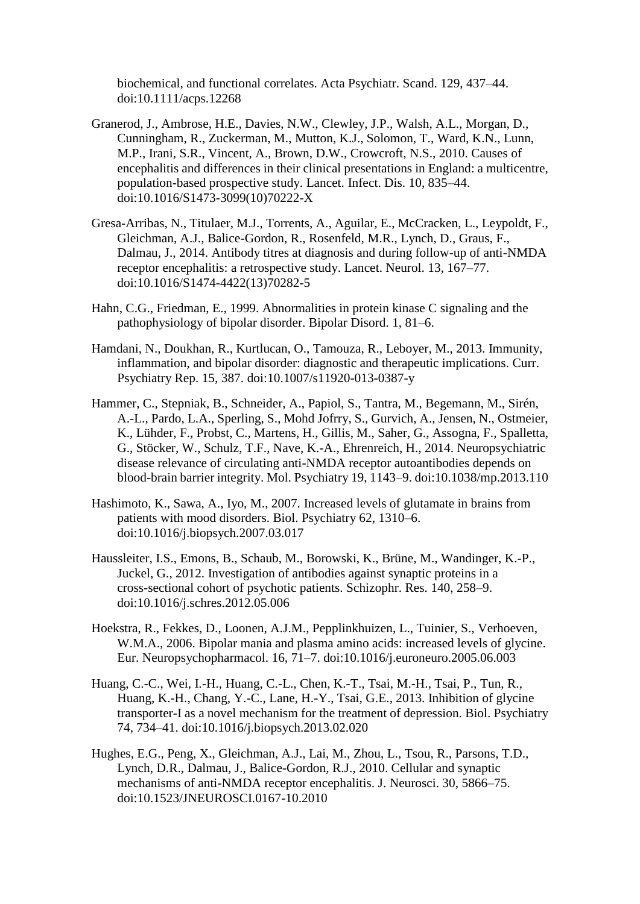biochemical, and functional correlates. Acta Psychiatr. Scand. 129, 437–44. doi:10.1111/acps.12268

- Granerod, J., Ambrose, H.E., Davies, N.W., Clewley, J.P., Walsh, A.L., Morgan, D., Cunningham, R., Zuckerman, M., Mutton, K.J., Solomon, T., Ward, K.N., Lunn, M.P., Irani, S.R., Vincent, A., Brown, D.W., Crowcroft, N.S., 2010. Causes of encephalitis and differences in their clinical presentations in England: a multicentre, population-based prospective study. Lancet. Infect. Dis. 10, 835–44. doi:10.1016/S1473-3099(10)70222-X
- Gresa-Arribas, N., Titulaer, M.J., Torrents, A., Aguilar, E., McCracken, L., Leypoldt, F., Gleichman, A.J., Balice-Gordon, R., Rosenfeld, M.R., Lynch, D., Graus, F., Dalmau, J., 2014. Antibody titres at diagnosis and during follow-up of anti-NMDA receptor encephalitis: a retrospective study. Lancet. Neurol. 13, 167–77. doi:10.1016/S1474-4422(13)70282-5
- Hahn, C.G., Friedman, E., 1999. Abnormalities in protein kinase C signaling and the pathophysiology of bipolar disorder. Bipolar Disord. 1, 81–6.
- Hamdani, N., Doukhan, R., Kurtlucan, O., Tamouza, R., Leboyer, M., 2013. Immunity, inflammation, and bipolar disorder: diagnostic and therapeutic implications. Curr. Psychiatry Rep. 15, 387. doi:10.1007/s11920-013-0387-y
- Hammer, C., Stepniak, B., Schneider, A., Papiol, S., Tantra, M., Begemann, M., Sirén, A.-L., Pardo, L.A., Sperling, S., Mohd Jofrry, S., Gurvich, A., Jensen, N., Ostmeier, K., Lühder, F., Probst, C., Martens, H., Gillis, M., Saher, G., Assogna, F., Spalletta, G., Stöcker, W., Schulz, T.F., Nave, K.-A., Ehrenreich, H., 2014. Neuropsychiatric disease relevance of circulating anti-NMDA receptor autoantibodies depends on blood-brain barrier integrity. Mol. Psychiatry 19, 1143–9. doi:10.1038/mp.2013.110
- Hashimoto, K., Sawa, A., Iyo, M., 2007. Increased levels of glutamate in brains from patients with mood disorders. Biol. Psychiatry 62, 1310–6. doi:10.1016/j.biopsych.2007.03.017
- Haussleiter, I.S., Emons, B., Schaub, M., Borowski, K., Brüne, M., Wandinger, K.-P., Juckel, G., 2012. Investigation of antibodies against synaptic proteins in a cross-sectional cohort of psychotic patients. Schizophr. Res. 140, 258–9. doi:10.1016/j.schres.2012.05.006
- Hoekstra, R., Fekkes, D., Loonen, A.J.M., Pepplinkhuizen, L., Tuinier, S., Verhoeven, W.M.A., 2006. Bipolar mania and plasma amino acids: increased levels of glycine. Eur. Neuropsychopharmacol. 16, 71–7. doi:10.1016/j.euroneuro.2005.06.003
- Huang, C.-C., Wei, I.-H., Huang, C.-L., Chen, K.-T., Tsai, M.-H., Tsai, P., Tun, R., Huang, K.-H., Chang, Y.-C., Lane, H.-Y., Tsai, G.E., 2013. Inhibition of glycine transporter-I as a novel mechanism for the treatment of depression. Biol. Psychiatry 74, 734–41. doi:10.1016/j.biopsych.2013.02.020
- Hughes, E.G., Peng, X., Gleichman, A.J., Lai, M., Zhou, L., Tsou, R., Parsons, T.D., Lynch, D.R., Dalmau, J., Balice-Gordon, R.J., 2010. Cellular and synaptic mechanisms of anti-NMDA receptor encephalitis. J. Neurosci. 30, 5866–75. doi:10.1523/JNEUROSCI.0167-10.2010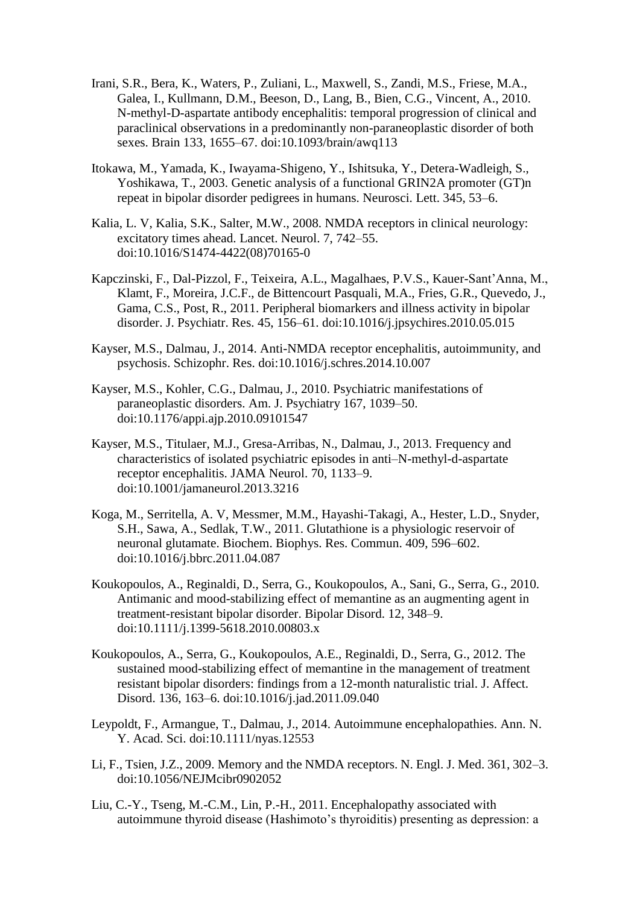- Irani, S.R., Bera, K., Waters, P., Zuliani, L., Maxwell, S., Zandi, M.S., Friese, M.A., Galea, I., Kullmann, D.M., Beeson, D., Lang, B., Bien, C.G., Vincent, A., 2010. N-methyl-D-aspartate antibody encephalitis: temporal progression of clinical and paraclinical observations in a predominantly non-paraneoplastic disorder of both sexes. Brain 133, 1655–67. doi:10.1093/brain/awq113
- Itokawa, M., Yamada, K., Iwayama-Shigeno, Y., Ishitsuka, Y., Detera-Wadleigh, S., Yoshikawa, T., 2003. Genetic analysis of a functional GRIN2A promoter (GT)n repeat in bipolar disorder pedigrees in humans. Neurosci. Lett. 345, 53–6.
- Kalia, L. V, Kalia, S.K., Salter, M.W., 2008. NMDA receptors in clinical neurology: excitatory times ahead. Lancet. Neurol. 7, 742–55. doi:10.1016/S1474-4422(08)70165-0
- Kapczinski, F., Dal-Pizzol, F., Teixeira, A.L., Magalhaes, P.V.S., Kauer-Sant'Anna, M., Klamt, F., Moreira, J.C.F., de Bittencourt Pasquali, M.A., Fries, G.R., Quevedo, J., Gama, C.S., Post, R., 2011. Peripheral biomarkers and illness activity in bipolar disorder. J. Psychiatr. Res. 45, 156–61. doi:10.1016/j.jpsychires.2010.05.015
- Kayser, M.S., Dalmau, J., 2014. Anti-NMDA receptor encephalitis, autoimmunity, and psychosis. Schizophr. Res. doi:10.1016/j.schres.2014.10.007
- Kayser, M.S., Kohler, C.G., Dalmau, J., 2010. Psychiatric manifestations of paraneoplastic disorders. Am. J. Psychiatry 167, 1039–50. doi:10.1176/appi.ajp.2010.09101547
- Kayser, M.S., Titulaer, M.J., Gresa-Arribas, N., Dalmau, J., 2013. Frequency and characteristics of isolated psychiatric episodes in anti–N-methyl-d-aspartate receptor encephalitis. JAMA Neurol. 70, 1133–9. doi:10.1001/jamaneurol.2013.3216
- Koga, M., Serritella, A. V, Messmer, M.M., Hayashi-Takagi, A., Hester, L.D., Snyder, S.H., Sawa, A., Sedlak, T.W., 2011. Glutathione is a physiologic reservoir of neuronal glutamate. Biochem. Biophys. Res. Commun. 409, 596–602. doi:10.1016/j.bbrc.2011.04.087
- Koukopoulos, A., Reginaldi, D., Serra, G., Koukopoulos, A., Sani, G., Serra, G., 2010. Antimanic and mood-stabilizing effect of memantine as an augmenting agent in treatment-resistant bipolar disorder. Bipolar Disord. 12, 348–9. doi:10.1111/j.1399-5618.2010.00803.x
- Koukopoulos, A., Serra, G., Koukopoulos, A.E., Reginaldi, D., Serra, G., 2012. The sustained mood-stabilizing effect of memantine in the management of treatment resistant bipolar disorders: findings from a 12-month naturalistic trial. J. Affect. Disord. 136, 163–6. doi:10.1016/j.jad.2011.09.040
- Leypoldt, F., Armangue, T., Dalmau, J., 2014. Autoimmune encephalopathies. Ann. N. Y. Acad. Sci. doi:10.1111/nyas.12553
- Li, F., Tsien, J.Z., 2009. Memory and the NMDA receptors. N. Engl. J. Med. 361, 302–3. doi:10.1056/NEJMcibr0902052
- Liu, C.-Y., Tseng, M.-C.M., Lin, P.-H., 2011. Encephalopathy associated with autoimmune thyroid disease (Hashimoto's thyroiditis) presenting as depression: a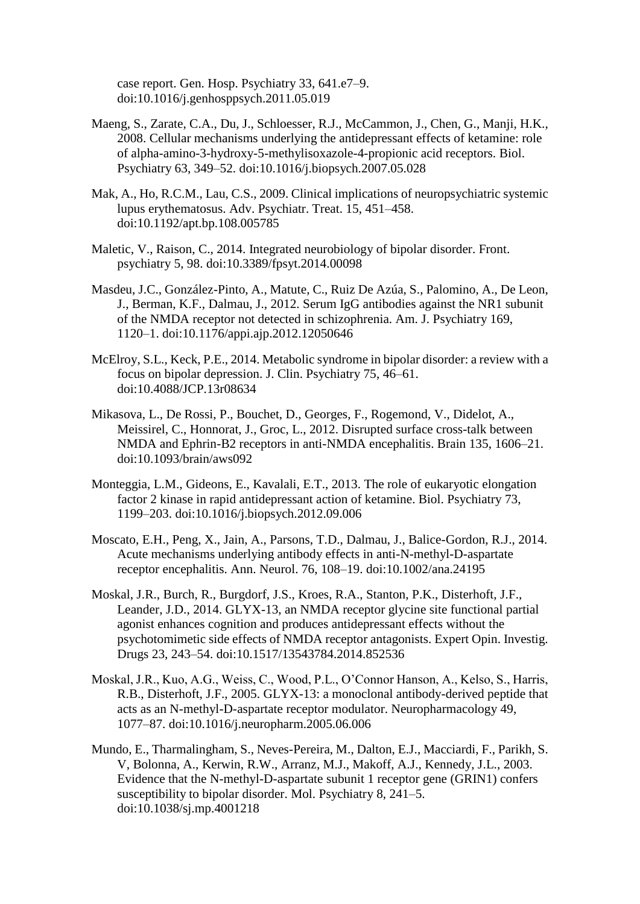case report. Gen. Hosp. Psychiatry 33, 641.e7–9. doi:10.1016/j.genhosppsych.2011.05.019

- Maeng, S., Zarate, C.A., Du, J., Schloesser, R.J., McCammon, J., Chen, G., Manji, H.K., 2008. Cellular mechanisms underlying the antidepressant effects of ketamine: role of alpha-amino-3-hydroxy-5-methylisoxazole-4-propionic acid receptors. Biol. Psychiatry 63, 349–52. doi:10.1016/j.biopsych.2007.05.028
- Mak, A., Ho, R.C.M., Lau, C.S., 2009. Clinical implications of neuropsychiatric systemic lupus erythematosus. Adv. Psychiatr. Treat. 15, 451–458. doi:10.1192/apt.bp.108.005785
- Maletic, V., Raison, C., 2014. Integrated neurobiology of bipolar disorder. Front. psychiatry 5, 98. doi:10.3389/fpsyt.2014.00098
- Masdeu, J.C., González-Pinto, A., Matute, C., Ruiz De Azúa, S., Palomino, A., De Leon, J., Berman, K.F., Dalmau, J., 2012. Serum IgG antibodies against the NR1 subunit of the NMDA receptor not detected in schizophrenia. Am. J. Psychiatry 169, 1120–1. doi:10.1176/appi.ajp.2012.12050646
- McElroy, S.L., Keck, P.E., 2014. Metabolic syndrome in bipolar disorder: a review with a focus on bipolar depression. J. Clin. Psychiatry 75, 46–61. doi:10.4088/JCP.13r08634
- Mikasova, L., De Rossi, P., Bouchet, D., Georges, F., Rogemond, V., Didelot, A., Meissirel, C., Honnorat, J., Groc, L., 2012. Disrupted surface cross-talk between NMDA and Ephrin-B2 receptors in anti-NMDA encephalitis. Brain 135, 1606–21. doi:10.1093/brain/aws092
- Monteggia, L.M., Gideons, E., Kavalali, E.T., 2013. The role of eukaryotic elongation factor 2 kinase in rapid antidepressant action of ketamine. Biol. Psychiatry 73, 1199–203. doi:10.1016/j.biopsych.2012.09.006
- Moscato, E.H., Peng, X., Jain, A., Parsons, T.D., Dalmau, J., Balice-Gordon, R.J., 2014. Acute mechanisms underlying antibody effects in anti-N-methyl-D-aspartate receptor encephalitis. Ann. Neurol. 76, 108–19. doi:10.1002/ana.24195
- Moskal, J.R., Burch, R., Burgdorf, J.S., Kroes, R.A., Stanton, P.K., Disterhoft, J.F., Leander, J.D., 2014. GLYX-13, an NMDA receptor glycine site functional partial agonist enhances cognition and produces antidepressant effects without the psychotomimetic side effects of NMDA receptor antagonists. Expert Opin. Investig. Drugs 23, 243–54. doi:10.1517/13543784.2014.852536
- Moskal, J.R., Kuo, A.G., Weiss, C., Wood, P.L., O'Connor Hanson, A., Kelso, S., Harris, R.B., Disterhoft, J.F., 2005. GLYX-13: a monoclonal antibody-derived peptide that acts as an N-methyl-D-aspartate receptor modulator. Neuropharmacology 49, 1077–87. doi:10.1016/j.neuropharm.2005.06.006
- Mundo, E., Tharmalingham, S., Neves-Pereira, M., Dalton, E.J., Macciardi, F., Parikh, S. V, Bolonna, A., Kerwin, R.W., Arranz, M.J., Makoff, A.J., Kennedy, J.L., 2003. Evidence that the N-methyl-D-aspartate subunit 1 receptor gene (GRIN1) confers susceptibility to bipolar disorder. Mol. Psychiatry 8, 241–5. doi:10.1038/sj.mp.4001218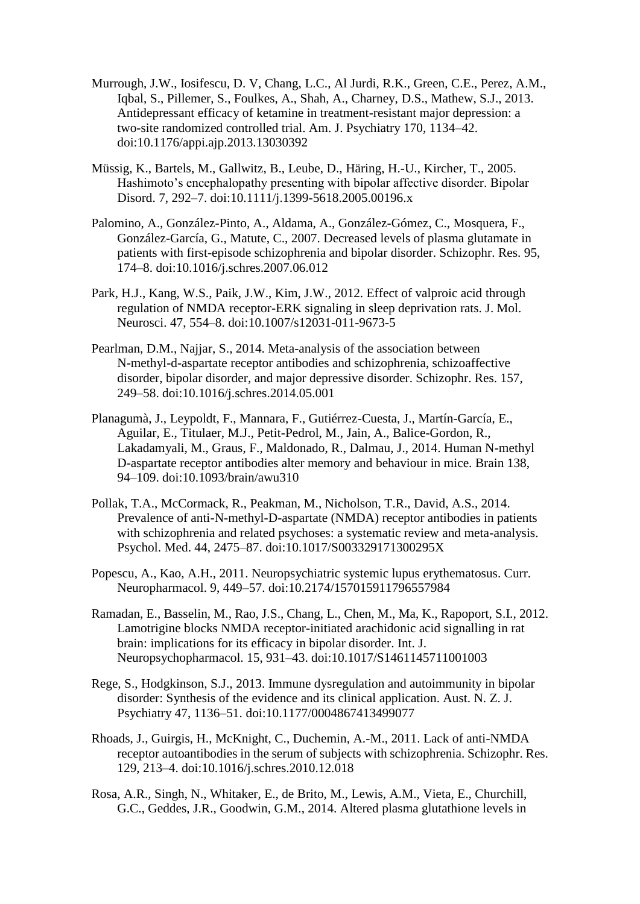- Murrough, J.W., Iosifescu, D. V, Chang, L.C., Al Jurdi, R.K., Green, C.E., Perez, A.M., Iqbal, S., Pillemer, S., Foulkes, A., Shah, A., Charney, D.S., Mathew, S.J., 2013. Antidepressant efficacy of ketamine in treatment-resistant major depression: a two-site randomized controlled trial. Am. J. Psychiatry 170, 1134–42. doi:10.1176/appi.ajp.2013.13030392
- Müssig, K., Bartels, M., Gallwitz, B., Leube, D., Häring, H.-U., Kircher, T., 2005. Hashimoto's encephalopathy presenting with bipolar affective disorder. Bipolar Disord. 7, 292–7. doi:10.1111/j.1399-5618.2005.00196.x
- Palomino, A., González-Pinto, A., Aldama, A., González-Gómez, C., Mosquera, F., González-García, G., Matute, C., 2007. Decreased levels of plasma glutamate in patients with first-episode schizophrenia and bipolar disorder. Schizophr. Res. 95, 174–8. doi:10.1016/j.schres.2007.06.012
- Park, H.J., Kang, W.S., Paik, J.W., Kim, J.W., 2012. Effect of valproic acid through regulation of NMDA receptor-ERK signaling in sleep deprivation rats. J. Mol. Neurosci. 47, 554–8. doi:10.1007/s12031-011-9673-5
- Pearlman, D.M., Najjar, S., 2014. Meta-analysis of the association between N-methyl-d-aspartate receptor antibodies and schizophrenia, schizoaffective disorder, bipolar disorder, and major depressive disorder. Schizophr. Res. 157, 249–58. doi:10.1016/j.schres.2014.05.001
- Planagumà, J., Leypoldt, F., Mannara, F., Gutiérrez-Cuesta, J., Martín-García, E., Aguilar, E., Titulaer, M.J., Petit-Pedrol, M., Jain, A., Balice-Gordon, R., Lakadamyali, M., Graus, F., Maldonado, R., Dalmau, J., 2014. Human N-methyl D-aspartate receptor antibodies alter memory and behaviour in mice. Brain 138, 94–109. doi:10.1093/brain/awu310
- Pollak, T.A., McCormack, R., Peakman, M., Nicholson, T.R., David, A.S., 2014. Prevalence of anti-N-methyl-D-aspartate (NMDA) receptor antibodies in patients with schizophrenia and related psychoses: a systematic review and meta-analysis. Psychol. Med. 44, 2475–87. doi:10.1017/S003329171300295X
- Popescu, A., Kao, A.H., 2011. Neuropsychiatric systemic lupus erythematosus. Curr. Neuropharmacol. 9, 449–57. doi:10.2174/157015911796557984
- Ramadan, E., Basselin, M., Rao, J.S., Chang, L., Chen, M., Ma, K., Rapoport, S.I., 2012. Lamotrigine blocks NMDA receptor-initiated arachidonic acid signalling in rat brain: implications for its efficacy in bipolar disorder. Int. J. Neuropsychopharmacol. 15, 931–43. doi:10.1017/S1461145711001003
- Rege, S., Hodgkinson, S.J., 2013. Immune dysregulation and autoimmunity in bipolar disorder: Synthesis of the evidence and its clinical application. Aust. N. Z. J. Psychiatry 47, 1136–51. doi:10.1177/0004867413499077
- Rhoads, J., Guirgis, H., McKnight, C., Duchemin, A.-M., 2011. Lack of anti-NMDA receptor autoantibodies in the serum of subjects with schizophrenia. Schizophr. Res. 129, 213–4. doi:10.1016/j.schres.2010.12.018
- Rosa, A.R., Singh, N., Whitaker, E., de Brito, M., Lewis, A.M., Vieta, E., Churchill, G.C., Geddes, J.R., Goodwin, G.M., 2014. Altered plasma glutathione levels in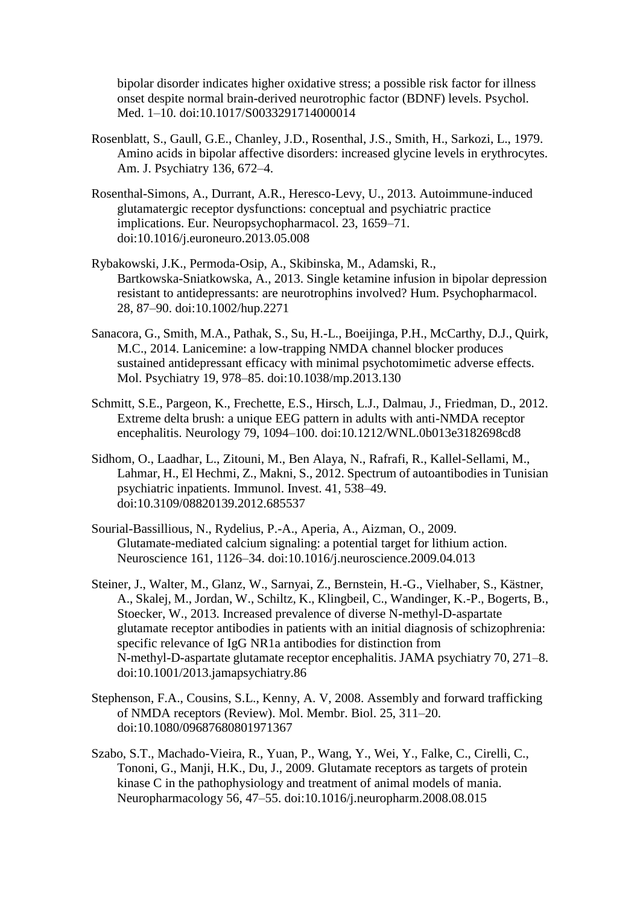bipolar disorder indicates higher oxidative stress; a possible risk factor for illness onset despite normal brain-derived neurotrophic factor (BDNF) levels. Psychol. Med. 1–10. doi:10.1017/S0033291714000014

- Rosenblatt, S., Gaull, G.E., Chanley, J.D., Rosenthal, J.S., Smith, H., Sarkozi, L., 1979. Amino acids in bipolar affective disorders: increased glycine levels in erythrocytes. Am. J. Psychiatry 136, 672–4.
- Rosenthal-Simons, A., Durrant, A.R., Heresco-Levy, U., 2013. Autoimmune-induced glutamatergic receptor dysfunctions: conceptual and psychiatric practice implications. Eur. Neuropsychopharmacol. 23, 1659–71. doi:10.1016/j.euroneuro.2013.05.008
- Rybakowski, J.K., Permoda-Osip, A., Skibinska, M., Adamski, R., Bartkowska-Sniatkowska, A., 2013. Single ketamine infusion in bipolar depression resistant to antidepressants: are neurotrophins involved? Hum. Psychopharmacol. 28, 87–90. doi:10.1002/hup.2271
- Sanacora, G., Smith, M.A., Pathak, S., Su, H.-L., Boeijinga, P.H., McCarthy, D.J., Quirk, M.C., 2014. Lanicemine: a low-trapping NMDA channel blocker produces sustained antidepressant efficacy with minimal psychotomimetic adverse effects. Mol. Psychiatry 19, 978–85. doi:10.1038/mp.2013.130
- Schmitt, S.E., Pargeon, K., Frechette, E.S., Hirsch, L.J., Dalmau, J., Friedman, D., 2012. Extreme delta brush: a unique EEG pattern in adults with anti-NMDA receptor encephalitis. Neurology 79, 1094–100. doi:10.1212/WNL.0b013e3182698cd8
- Sidhom, O., Laadhar, L., Zitouni, M., Ben Alaya, N., Rafrafi, R., Kallel-Sellami, M., Lahmar, H., El Hechmi, Z., Makni, S., 2012. Spectrum of autoantibodies in Tunisian psychiatric inpatients. Immunol. Invest. 41, 538–49. doi:10.3109/08820139.2012.685537
- Sourial-Bassillious, N., Rydelius, P.-A., Aperia, A., Aizman, O., 2009. Glutamate-mediated calcium signaling: a potential target for lithium action. Neuroscience 161, 1126–34. doi:10.1016/j.neuroscience.2009.04.013
- Steiner, J., Walter, M., Glanz, W., Sarnyai, Z., Bernstein, H.-G., Vielhaber, S., Kästner, A., Skalej, M., Jordan, W., Schiltz, K., Klingbeil, C., Wandinger, K.-P., Bogerts, B., Stoecker, W., 2013. Increased prevalence of diverse N-methyl-D-aspartate glutamate receptor antibodies in patients with an initial diagnosis of schizophrenia: specific relevance of IgG NR1a antibodies for distinction from N-methyl-D-aspartate glutamate receptor encephalitis. JAMA psychiatry 70, 271–8. doi:10.1001/2013.jamapsychiatry.86
- Stephenson, F.A., Cousins, S.L., Kenny, A. V, 2008. Assembly and forward trafficking of NMDA receptors (Review). Mol. Membr. Biol. 25, 311–20. doi:10.1080/09687680801971367
- Szabo, S.T., Machado-Vieira, R., Yuan, P., Wang, Y., Wei, Y., Falke, C., Cirelli, C., Tononi, G., Manji, H.K., Du, J., 2009. Glutamate receptors as targets of protein kinase C in the pathophysiology and treatment of animal models of mania. Neuropharmacology 56, 47–55. doi:10.1016/j.neuropharm.2008.08.015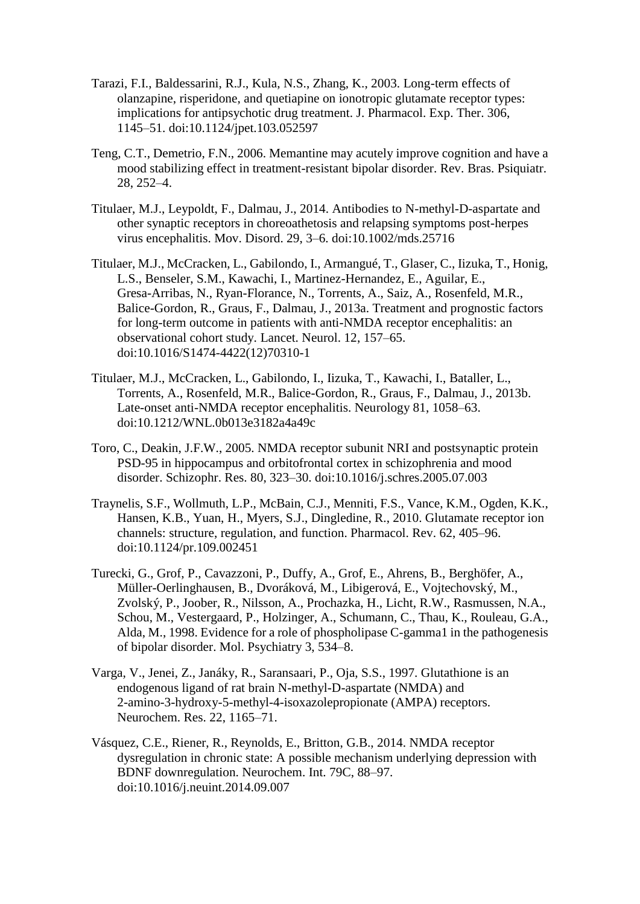- Tarazi, F.I., Baldessarini, R.J., Kula, N.S., Zhang, K., 2003. Long-term effects of olanzapine, risperidone, and quetiapine on ionotropic glutamate receptor types: implications for antipsychotic drug treatment. J. Pharmacol. Exp. Ther. 306, 1145–51. doi:10.1124/jpet.103.052597
- Teng, C.T., Demetrio, F.N., 2006. Memantine may acutely improve cognition and have a mood stabilizing effect in treatment-resistant bipolar disorder. Rev. Bras. Psiquiatr. 28, 252–4.
- Titulaer, M.J., Leypoldt, F., Dalmau, J., 2014. Antibodies to N-methyl-D-aspartate and other synaptic receptors in choreoathetosis and relapsing symptoms post-herpes virus encephalitis. Mov. Disord. 29, 3–6. doi:10.1002/mds.25716
- Titulaer, M.J., McCracken, L., Gabilondo, I., Armangué, T., Glaser, C., Iizuka, T., Honig, L.S., Benseler, S.M., Kawachi, I., Martinez-Hernandez, E., Aguilar, E., Gresa-Arribas, N., Ryan-Florance, N., Torrents, A., Saiz, A., Rosenfeld, M.R., Balice-Gordon, R., Graus, F., Dalmau, J., 2013a. Treatment and prognostic factors for long-term outcome in patients with anti-NMDA receptor encephalitis: an observational cohort study. Lancet. Neurol. 12, 157–65. doi:10.1016/S1474-4422(12)70310-1
- Titulaer, M.J., McCracken, L., Gabilondo, I., Iizuka, T., Kawachi, I., Bataller, L., Torrents, A., Rosenfeld, M.R., Balice-Gordon, R., Graus, F., Dalmau, J., 2013b. Late-onset anti-NMDA receptor encephalitis. Neurology 81, 1058–63. doi:10.1212/WNL.0b013e3182a4a49c
- Toro, C., Deakin, J.F.W., 2005. NMDA receptor subunit NRI and postsynaptic protein PSD-95 in hippocampus and orbitofrontal cortex in schizophrenia and mood disorder. Schizophr. Res. 80, 323–30. doi:10.1016/j.schres.2005.07.003
- Traynelis, S.F., Wollmuth, L.P., McBain, C.J., Menniti, F.S., Vance, K.M., Ogden, K.K., Hansen, K.B., Yuan, H., Myers, S.J., Dingledine, R., 2010. Glutamate receptor ion channels: structure, regulation, and function. Pharmacol. Rev. 62, 405–96. doi:10.1124/pr.109.002451
- Turecki, G., Grof, P., Cavazzoni, P., Duffy, A., Grof, E., Ahrens, B., Berghöfer, A., Müller-Oerlinghausen, B., Dvoráková, M., Libigerová, E., Vojtechovský, M., Zvolský, P., Joober, R., Nilsson, A., Prochazka, H., Licht, R.W., Rasmussen, N.A., Schou, M., Vestergaard, P., Holzinger, A., Schumann, C., Thau, K., Rouleau, G.A., Alda, M., 1998. Evidence for a role of phospholipase C-gamma1 in the pathogenesis of bipolar disorder. Mol. Psychiatry 3, 534–8.
- Varga, V., Jenei, Z., Janáky, R., Saransaari, P., Oja, S.S., 1997. Glutathione is an endogenous ligand of rat brain N-methyl-D-aspartate (NMDA) and 2-amino-3-hydroxy-5-methyl-4-isoxazolepropionate (AMPA) receptors. Neurochem. Res. 22, 1165–71.
- Vásquez, C.E., Riener, R., Reynolds, E., Britton, G.B., 2014. NMDA receptor dysregulation in chronic state: A possible mechanism underlying depression with BDNF downregulation. Neurochem. Int. 79C, 88–97. doi:10.1016/j.neuint.2014.09.007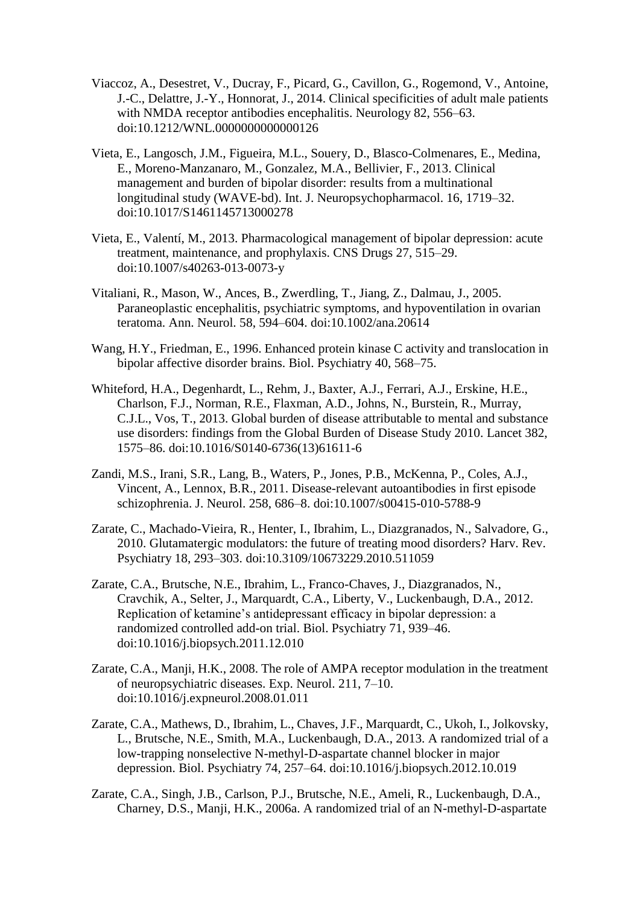- Viaccoz, A., Desestret, V., Ducray, F., Picard, G., Cavillon, G., Rogemond, V., Antoine, J.-C., Delattre, J.-Y., Honnorat, J., 2014. Clinical specificities of adult male patients with NMDA receptor antibodies encephalitis. Neurology 82, 556–63. doi:10.1212/WNL.0000000000000126
- Vieta, E., Langosch, J.M., Figueira, M.L., Souery, D., Blasco-Colmenares, E., Medina, E., Moreno-Manzanaro, M., Gonzalez, M.A., Bellivier, F., 2013. Clinical management and burden of bipolar disorder: results from a multinational longitudinal study (WAVE-bd). Int. J. Neuropsychopharmacol. 16, 1719–32. doi:10.1017/S1461145713000278
- Vieta, E., Valentí, M., 2013. Pharmacological management of bipolar depression: acute treatment, maintenance, and prophylaxis. CNS Drugs 27, 515–29. doi:10.1007/s40263-013-0073-y
- Vitaliani, R., Mason, W., Ances, B., Zwerdling, T., Jiang, Z., Dalmau, J., 2005. Paraneoplastic encephalitis, psychiatric symptoms, and hypoventilation in ovarian teratoma. Ann. Neurol. 58, 594–604. doi:10.1002/ana.20614
- Wang, H.Y., Friedman, E., 1996. Enhanced protein kinase C activity and translocation in bipolar affective disorder brains. Biol. Psychiatry 40, 568–75.
- Whiteford, H.A., Degenhardt, L., Rehm, J., Baxter, A.J., Ferrari, A.J., Erskine, H.E., Charlson, F.J., Norman, R.E., Flaxman, A.D., Johns, N., Burstein, R., Murray, C.J.L., Vos, T., 2013. Global burden of disease attributable to mental and substance use disorders: findings from the Global Burden of Disease Study 2010. Lancet 382, 1575–86. doi:10.1016/S0140-6736(13)61611-6
- Zandi, M.S., Irani, S.R., Lang, B., Waters, P., Jones, P.B., McKenna, P., Coles, A.J., Vincent, A., Lennox, B.R., 2011. Disease-relevant autoantibodies in first episode schizophrenia. J. Neurol. 258, 686–8. doi:10.1007/s00415-010-5788-9
- Zarate, C., Machado-Vieira, R., Henter, I., Ibrahim, L., Diazgranados, N., Salvadore, G., 2010. Glutamatergic modulators: the future of treating mood disorders? Harv. Rev. Psychiatry 18, 293–303. doi:10.3109/10673229.2010.511059
- Zarate, C.A., Brutsche, N.E., Ibrahim, L., Franco-Chaves, J., Diazgranados, N., Cravchik, A., Selter, J., Marquardt, C.A., Liberty, V., Luckenbaugh, D.A., 2012. Replication of ketamine's antidepressant efficacy in bipolar depression: a randomized controlled add-on trial. Biol. Psychiatry 71, 939–46. doi:10.1016/j.biopsych.2011.12.010
- Zarate, C.A., Manji, H.K., 2008. The role of AMPA receptor modulation in the treatment of neuropsychiatric diseases. Exp. Neurol. 211, 7–10. doi:10.1016/j.expneurol.2008.01.011
- Zarate, C.A., Mathews, D., Ibrahim, L., Chaves, J.F., Marquardt, C., Ukoh, I., Jolkovsky, L., Brutsche, N.E., Smith, M.A., Luckenbaugh, D.A., 2013. A randomized trial of a low-trapping nonselective N-methyl-D-aspartate channel blocker in major depression. Biol. Psychiatry 74, 257–64. doi:10.1016/j.biopsych.2012.10.019
- Zarate, C.A., Singh, J.B., Carlson, P.J., Brutsche, N.E., Ameli, R., Luckenbaugh, D.A., Charney, D.S., Manji, H.K., 2006a. A randomized trial of an N-methyl-D-aspartate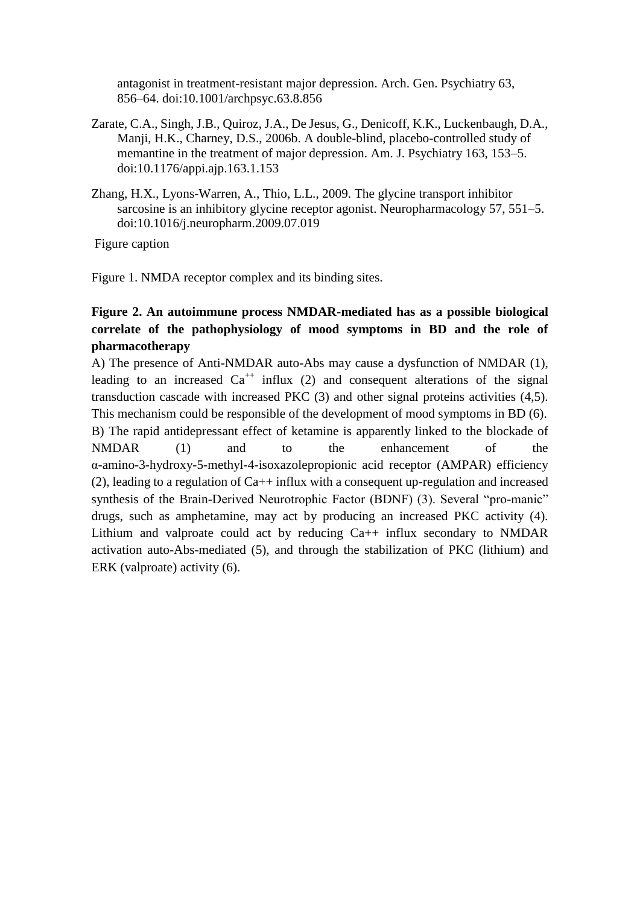antagonist in treatment-resistant major depression. Arch. Gen. Psychiatry 63, 856–64. doi:10.1001/archpsyc.63.8.856

- Zarate, C.A., Singh, J.B., Quiroz, J.A., De Jesus, G., Denicoff, K.K., Luckenbaugh, D.A., Manji, H.K., Charney, D.S., 2006b. A double-blind, placebo-controlled study of memantine in the treatment of major depression. Am. J. Psychiatry 163, 153–5. doi:10.1176/appi.ajp.163.1.153
- Zhang, H.X., Lyons-Warren, A., Thio, L.L., 2009. The glycine transport inhibitor sarcosine is an inhibitory glycine receptor agonist. Neuropharmacology 57, 551–5. doi:10.1016/j.neuropharm.2009.07.019

Figure caption

Figure 1. NMDA receptor complex and its binding sites.

# **Figure 2. An autoimmune process NMDAR-mediated has as a possible biological correlate of the pathophysiology of mood symptoms in BD and the role of pharmacotherapy**

A) The presence of Anti-NMDAR auto-Abs may cause a dysfunction of NMDAR (1), leading to an increased  $Ca^{++}$  influx (2) and consequent alterations of the signal transduction cascade with increased PKC (3) and other signal proteins activities (4,5). This mechanism could be responsible of the development of mood symptoms in BD (6). B) The rapid antidepressant effect of ketamine is apparently linked to the blockade of

NMDAR (1) and to the enhancement of the α-amino-3-hydroxy-5-methyl-4-isoxazolepropionic acid receptor (AMPAR) efficiency (2), leading to a regulation of Ca++ influx with a consequent up-regulation and increased synthesis of the Brain-Derived Neurotrophic Factor (BDNF) (3). Several "pro-manic" drugs, such as amphetamine, may act by producing an increased PKC activity (4). Lithium and valproate could act by reducing Ca++ influx secondary to NMDAR activation auto-Abs-mediated (5), and through the stabilization of PKC (lithium) and ERK (valproate) activity (6).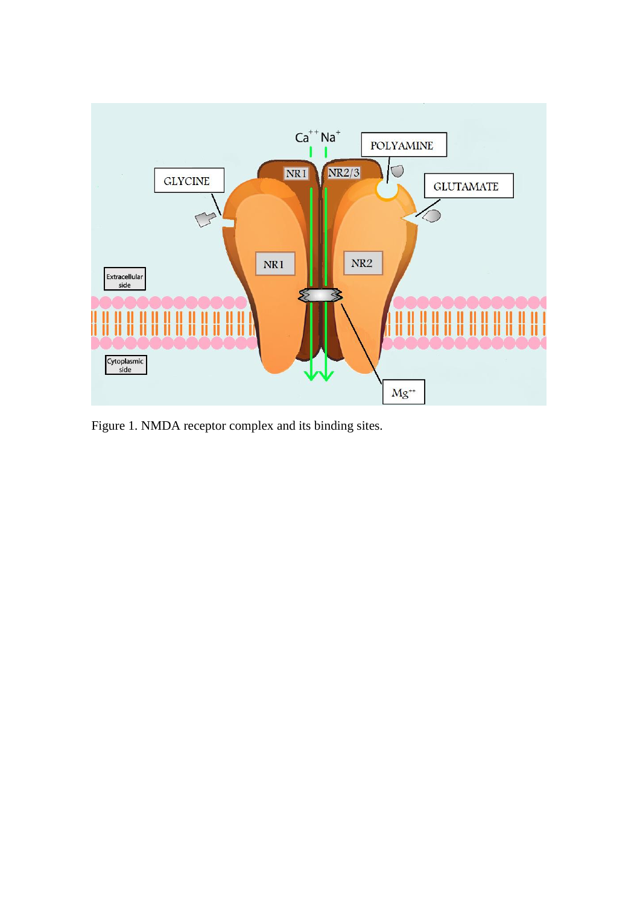

Figure 1. NMDA receptor complex and its binding sites.